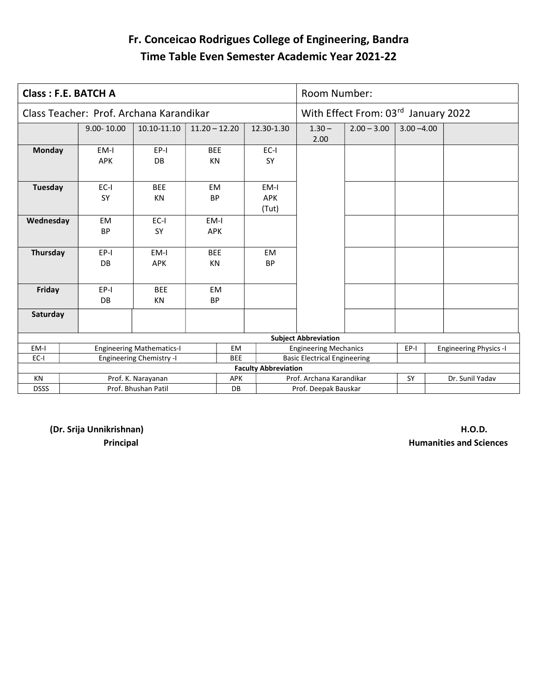#### Fr. Conceicao Rodrigues College of Engineering, Bandra Time Table Even Semester Academic Year 2021-22

|                 | <b>Class: F.E. BATCH A</b>              |                                  |                         |            |                             | Room Number:                        |                                     |               |                               |
|-----------------|-----------------------------------------|----------------------------------|-------------------------|------------|-----------------------------|-------------------------------------|-------------------------------------|---------------|-------------------------------|
|                 | Class Teacher: Prof. Archana Karandikar |                                  |                         |            |                             |                                     | With Effect From: 03rd January 2022 |               |                               |
|                 | $9.00 - 10.00$                          | 10.10-11.10                      | $11.20 - 12.20$         |            | 12.30-1.30                  | $1.30 -$<br>2.00                    | $2.00 - 3.00$                       | $3.00 - 4.00$ |                               |
| <b>Monday</b>   | EM-I<br><b>APK</b>                      | EP-I<br><b>DB</b>                | <b>BEE</b><br>KN        |            | EC-I<br><b>SY</b>           |                                     |                                     |               |                               |
| Tuesday         | EC-I<br>SY                              | <b>BEE</b><br><b>KN</b>          | <b>EM</b><br><b>BP</b>  |            | EM-I<br><b>APK</b><br>(Tut) |                                     |                                     |               |                               |
| Wednesday       | <b>EM</b><br><b>BP</b>                  | $EC-I$<br><b>SY</b>              | EM-I<br><b>APK</b>      |            |                             |                                     |                                     |               |                               |
| <b>Thursday</b> | EP-I<br>DB                              | EM-I<br><b>APK</b>               | <b>BEE</b><br><b>KN</b> |            | EM<br><b>BP</b>             |                                     |                                     |               |                               |
| Friday          | EP-I<br><b>DB</b>                       | <b>BEE</b><br><b>KN</b>          | <b>EM</b><br><b>BP</b>  |            |                             |                                     |                                     |               |                               |
| Saturday        |                                         |                                  |                         |            |                             |                                     |                                     |               |                               |
|                 |                                         |                                  |                         |            |                             | <b>Subject Abbreviation</b>         |                                     |               |                               |
| EM-I            |                                         | <b>Engineering Mathematics-I</b> |                         | EM         |                             | <b>Engineering Mechanics</b>        |                                     | EP-I          | <b>Engineering Physics -I</b> |
| EC-I            |                                         | <b>Engineering Chemistry -I</b>  |                         | <b>BEE</b> |                             | <b>Basic Electrical Engineering</b> |                                     |               |                               |
|                 |                                         |                                  |                         |            | <b>Faculty Abbreviation</b> |                                     |                                     |               |                               |
| KN              |                                         | Prof. K. Narayanan               |                         | APK        |                             | Prof. Archana Karandikar            |                                     | SY            | Dr. Sunil Yadav               |
| <b>DSSS</b>     |                                         | Prof. Bhushan Patil              |                         | DB         |                             | Prof. Deepak Bauskar                |                                     |               |                               |

(Dr. Srija Unnikrishnan) H.O.D.

**Principal Automatics and Sciences Principal** Humanities and Sciences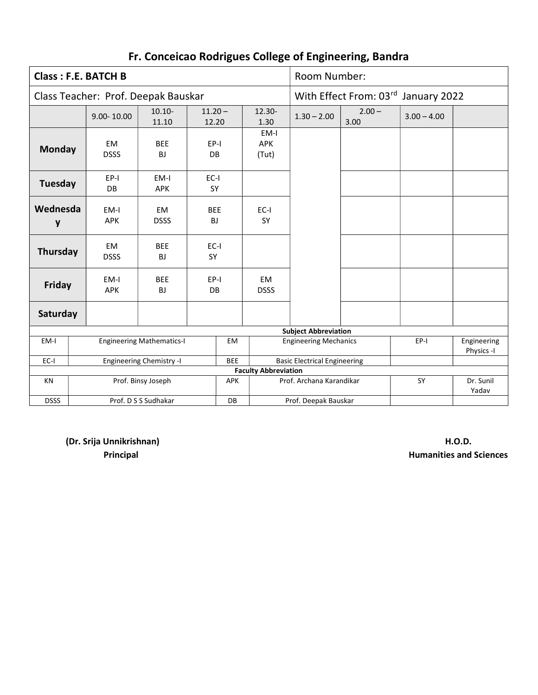|               | <b>Class: F.E. BATCH B</b>          |                                  |                         |            |                             | Room Number:                        |                                     |               |                           |
|---------------|-------------------------------------|----------------------------------|-------------------------|------------|-----------------------------|-------------------------------------|-------------------------------------|---------------|---------------------------|
|               | Class Teacher: Prof. Deepak Bauskar |                                  |                         |            |                             |                                     | With Effect From: 03rd January 2022 |               |                           |
|               | $9.00 - 10.00$                      | $10.10 -$<br>11.10               | $11.20 -$<br>12.20      |            | $12.30 -$<br>1.30           | $1.30 - 2.00$                       | $2.00 -$<br>3.00                    | $3.00 - 4.00$ |                           |
| <b>Monday</b> | <b>EM</b><br><b>DSSS</b>            | <b>BEE</b><br><b>BJ</b>          | EP-I<br>DB.             |            | EM-I<br>APK<br>(Tut)        |                                     |                                     |               |                           |
| Tuesday       | EP-I<br><b>DB</b>                   | EM-I<br><b>APK</b>               | $EC-I$<br><b>SY</b>     |            |                             |                                     |                                     |               |                           |
| Wednesda<br>y | EM-I<br><b>APK</b>                  | <b>EM</b><br><b>DSSS</b>         | <b>BEE</b><br><b>BJ</b> |            | $EC-I$<br>SY                |                                     |                                     |               |                           |
| Thursday      | EM<br><b>DSSS</b>                   | <b>BEE</b><br><b>BJ</b>          | $EC-I$<br><b>SY</b>     |            |                             |                                     |                                     |               |                           |
| Friday        | EM-I<br><b>APK</b>                  | <b>BEE</b><br><b>BJ</b>          | EP-I<br>DB              |            | EM<br><b>DSSS</b>           |                                     |                                     |               |                           |
| Saturday      |                                     |                                  |                         |            |                             |                                     |                                     |               |                           |
|               |                                     |                                  |                         |            |                             | <b>Subject Abbreviation</b>         |                                     |               |                           |
| EM-I          |                                     | <b>Engineering Mathematics-I</b> |                         | <b>EM</b>  |                             | <b>Engineering Mechanics</b>        |                                     | EP-I          | Engineering<br>Physics -I |
| $EC-I$        |                                     | <b>Engineering Chemistry -I</b>  |                         | <b>BEE</b> |                             | <b>Basic Electrical Engineering</b> |                                     |               |                           |
|               |                                     |                                  |                         |            | <b>Faculty Abbreviation</b> |                                     |                                     |               |                           |
| <b>KN</b>     |                                     | Prof. Binsy Joseph               |                         | <b>APK</b> |                             | Prof. Archana Karandikar            |                                     | SY            | Dr. Sunil<br>Yadav        |
| <b>DSSS</b>   |                                     | Prof. D S S Sudhakar             |                         | DB         |                             | Prof. Deepak Bauskar                |                                     |               |                           |

(Dr. Srija Unnikrishnan) H.O.D.

**Principal Automatics and Sciences Principal** Humanities and Sciences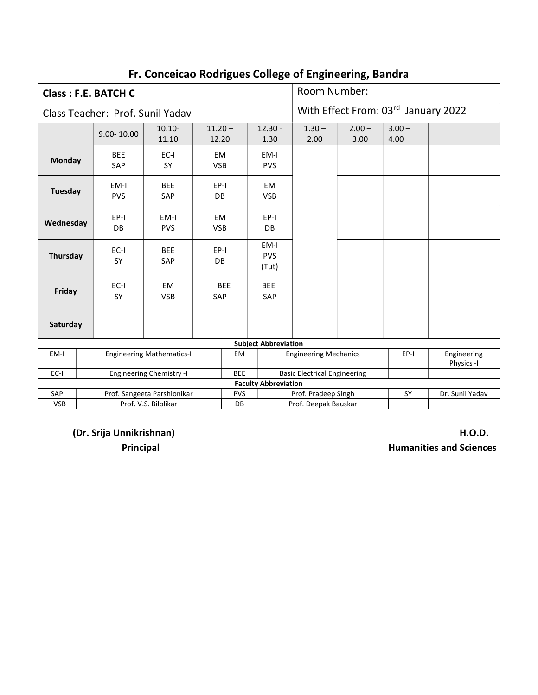|            | <b>Class: F.E. BATCH C</b>       |                                  |                         |            |                             | Room Number:                        |                                     |                  |                           |
|------------|----------------------------------|----------------------------------|-------------------------|------------|-----------------------------|-------------------------------------|-------------------------------------|------------------|---------------------------|
|            | Class Teacher: Prof. Sunil Yadav |                                  |                         |            |                             |                                     | With Effect From: 03rd January 2022 |                  |                           |
|            | $9.00 - 10.00$                   | $10.10 -$<br>11.10               | $11.20 -$<br>12.20      |            | $12.30 -$<br>1.30           | $1.30 -$<br>2.00                    | $2.00 -$<br>3.00                    | $3.00 -$<br>4.00 |                           |
| Monday     | <b>BEE</b><br>SAP                | EC-I<br>SY                       | EM<br><b>VSB</b>        |            | EM-I<br><b>PVS</b>          |                                     |                                     |                  |                           |
| Tuesday    | EM-I<br><b>PVS</b>               | <b>BEE</b><br>SAP                | EP-I<br><b>DB</b>       |            | EM<br><b>VSB</b>            |                                     |                                     |                  |                           |
| Wednesday  | EP-I<br>DB                       | EM-I<br><b>PVS</b>               | <b>EM</b><br><b>VSB</b> |            | EP-I<br><b>DB</b>           |                                     |                                     |                  |                           |
| Thursday   | $EC-I$<br>SY                     | <b>BEE</b><br><b>SAP</b>         | EP-I<br><b>DB</b>       |            | EM-I<br><b>PVS</b><br>(Tut) |                                     |                                     |                  |                           |
| Friday     | $EC-I$<br>SY                     | <b>EM</b><br><b>VSB</b>          | SAP                     | <b>BEE</b> | <b>BEE</b><br>SAP           |                                     |                                     |                  |                           |
| Saturday   |                                  |                                  |                         |            |                             |                                     |                                     |                  |                           |
|            |                                  |                                  |                         |            | <b>Subject Abbreviation</b> |                                     |                                     |                  |                           |
| EM-I       |                                  | <b>Engineering Mathematics-I</b> |                         | EM         |                             | <b>Engineering Mechanics</b>        |                                     | EP-I             | Engineering<br>Physics -I |
| $EC-I$     |                                  | <b>Engineering Chemistry -I</b>  |                         | <b>BEE</b> |                             | <b>Basic Electrical Engineering</b> |                                     |                  |                           |
|            |                                  |                                  |                         |            | <b>Faculty Abbreviation</b> |                                     |                                     |                  |                           |
| SAP        |                                  | Prof. Sangeeta Parshionikar      |                         | <b>PVS</b> |                             | Prof. Pradeep Singh                 |                                     | SY               | Dr. Sunil Yadav           |
| <b>VSB</b> |                                  | Prof. V.S. Bilolikar             |                         | DB         |                             | Prof. Deepak Bauskar                |                                     |                  |                           |

(Dr. Srija Unnikrishnan) H.O.D.

**Principal Automative Service Service Service Service Service Service Service Service Service Service Service S**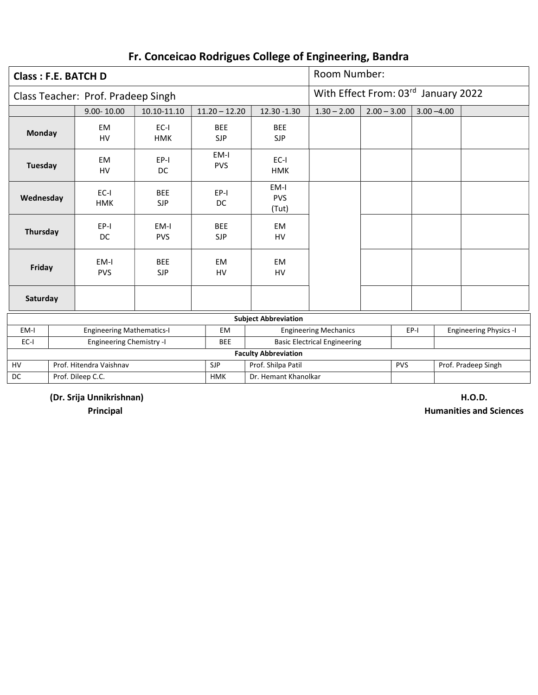| Class: F.E. BATCH D |                                    |                          |                          |                             | Room Number:                        |                                     |               |                               |
|---------------------|------------------------------------|--------------------------|--------------------------|-----------------------------|-------------------------------------|-------------------------------------|---------------|-------------------------------|
|                     | Class Teacher: Prof. Pradeep Singh |                          |                          |                             |                                     | With Effect From: 03rd January 2022 |               |                               |
|                     | $9.00 - 10.00$                     | 10.10-11.10              | $11.20 - 12.20$          | 12.30 -1.30                 | $1.30 - 2.00$                       | $2.00 - 3.00$                       | $3.00 - 4.00$ |                               |
| Monday              | <b>EM</b><br>HV                    | $EC-I$<br><b>HMK</b>     | <b>BEE</b><br><b>SJP</b> | <b>BEE</b><br><b>SJP</b>    |                                     |                                     |               |                               |
| Tuesday             | <b>EM</b><br>HV                    | EP-I<br>DC               | EM-I<br><b>PVS</b>       | EC-I<br><b>HMK</b>          |                                     |                                     |               |                               |
| Wednesday           | $EC-I$<br><b>HMK</b>               | <b>BEE</b><br><b>SJP</b> | EP-I<br>DC               | EM-I<br><b>PVS</b><br>(Tut) |                                     |                                     |               |                               |
| Thursday            | $EP-I$<br>DC                       | EM-I<br><b>PVS</b>       | <b>BEE</b><br><b>SJP</b> | <b>EM</b><br><b>HV</b>      |                                     |                                     |               |                               |
| Friday              | EM-I<br><b>PVS</b>                 | <b>BEE</b><br><b>SJP</b> | <b>EM</b><br><b>HV</b>   | <b>EM</b><br><b>HV</b>      |                                     |                                     |               |                               |
| Saturday            |                                    |                          |                          |                             |                                     |                                     |               |                               |
|                     |                                    |                          |                          | <b>Subject Abbreviation</b> |                                     |                                     |               |                               |
| EM-I                | <b>Engineering Mathematics-I</b>   |                          | <b>EM</b>                |                             | <b>Engineering Mechanics</b>        |                                     | EP-I          | <b>Engineering Physics -I</b> |
| $EC-I$              | <b>Engineering Chemistry -I</b>    |                          | <b>BEE</b>               |                             | <b>Basic Electrical Engineering</b> |                                     |               |                               |
|                     |                                    |                          |                          | <b>Faculty Abbreviation</b> |                                     |                                     |               |                               |
| HV                  | Prof. Hitendra Vaishnav            |                          | <b>SJP</b>               | Prof. Shilpa Patil          |                                     | <b>PVS</b>                          |               | Prof. Pradeep Singh           |
| DC                  | Prof. Dileep C.C.                  |                          | <b>HMK</b>               | Dr. Hemant Khanolkar        |                                     |                                     |               |                               |

(Dr. Srija Unnikrishnan) H.O.D.

**Principal Automobile Excited Excited Automobile Excited Automobile Excited Automobile Excited Automobile Excited Automobile Excited Automobile Excited Automobile Excited Automobile Excited Automobile Excited Automobile Ex**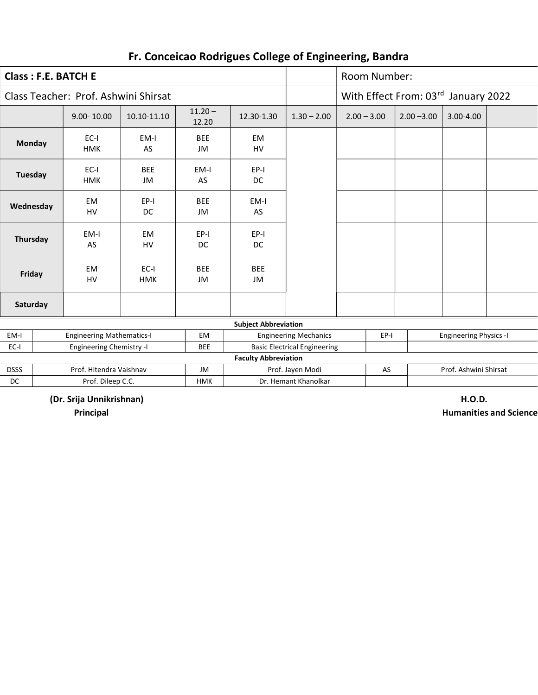| <b>Class: F.E. BATCH E</b> |                                      |                        |                    |                             |                              | Room Number:           |               |                               |  |
|----------------------------|--------------------------------------|------------------------|--------------------|-----------------------------|------------------------------|------------------------|---------------|-------------------------------|--|
|                            | Class Teacher: Prof. Ashwini Shirsat |                        |                    |                             |                              | With Effect From: 03rd |               | January 2022                  |  |
|                            | $9.00 - 10.00$                       | 10.10-11.10            | $11.20 -$<br>12.20 | 12.30-1.30                  | $1.30 - 2.00$                | $2.00 - 3.00$          | $2.00 - 3.00$ | 3.00-4.00                     |  |
| <b>Monday</b>              | $EC-I$<br><b>HMK</b>                 | EM-I<br>AS             | <b>BEE</b><br>JM   | <b>EM</b><br>HV             |                              |                        |               |                               |  |
| Tuesday                    | $EC-I$<br><b>HMK</b>                 | <b>BEE</b><br>JM       | EM-I<br>AS         | EP-I<br>DC                  |                              |                        |               |                               |  |
| Wednesday                  | <b>EM</b><br>HV                      | $EP-I$<br>DC           | <b>BEE</b><br>JM   | EM-I<br>AS                  |                              |                        |               |                               |  |
| Thursday                   | EM-I<br>AS                           | <b>EM</b><br><b>HV</b> | EP-I<br>DC         | EP-I<br>DC                  |                              |                        |               |                               |  |
| Friday                     | <b>EM</b><br><b>HV</b>               | EC-I<br><b>HMK</b>     | <b>BEE</b><br>JM   | <b>BEE</b><br>JM            |                              |                        |               |                               |  |
| Saturday                   |                                      |                        |                    |                             |                              |                        |               |                               |  |
|                            |                                      |                        |                    | <b>Subject Abbreviation</b> |                              |                        |               |                               |  |
| EM-I                       | <b>Engineering Mathematics-I</b>     |                        | EM                 |                             | <b>Engineering Mechanics</b> | EP-I                   |               | <b>Engineering Physics -I</b> |  |
|                            |                                      |                        |                    |                             |                              |                        |               |                               |  |

| LIVI-I      | LURILICCHIIR IVIALIICIHALIUS-I  | LIVI       | LUSTIC CHIIS IVICUIDING             | 65 T | LUBLIC CHIIS FIIYSIUS T |
|-------------|---------------------------------|------------|-------------------------------------|------|-------------------------|
| EC-I        | <b>Engineering Chemistry -I</b> | <b>BEE</b> | <b>Basic Electrical Engineering</b> |      |                         |
|             |                                 |            | <b>Faculty Abbreviation</b>         |      |                         |
| <b>DSSS</b> | Prof. Hitendra Vaishnav         | JM         | Prof. Javen Modi                    | AS   | Prof. Ashwini Shirsat   |
| DC          | Prof. Dileep C.C.               | <b>HMK</b> | Dr. Hemant Khanolkar                |      |                         |
|             |                                 |            |                                     |      |                         |

(Dr. Srija Unnikrishnan) H.O.D.

**Principal Automobile Excited Automobile Excited Automobile Excited Automobile Excited Automobile Excited Automobile Excited Automobile Excited Automobile Excited Automobile Excited Automobile Excited Automobile Excited Au**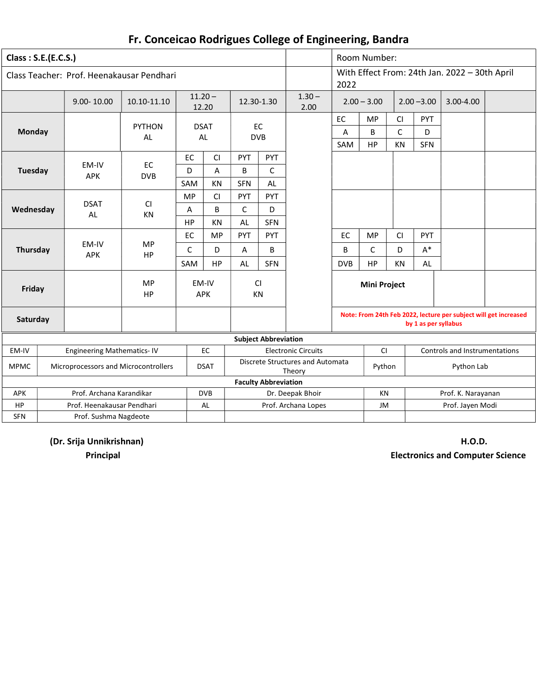| Class: S.E.(E.C.S.) |                                           |                            |                    |                     |              |                             |                                            |                | Room Number:        |                         |                        |                                                                  |  |
|---------------------|-------------------------------------------|----------------------------|--------------------|---------------------|--------------|-----------------------------|--------------------------------------------|----------------|---------------------|-------------------------|------------------------|------------------------------------------------------------------|--|
|                     | Class Teacher: Prof. Heenakausar Pendhari |                            |                    |                     |              |                             |                                            | 2022           |                     |                         |                        | With Effect From: 24th Jan. 2022 - 30th April                    |  |
|                     | $9.00 - 10.00$                            | 10.10-11.10                | $11.20 -$<br>12.20 |                     | 12.30-1.30   |                             | $1.30 -$<br>2.00                           |                | $2.00 - 3.00$       |                         | $2.00 - 3.00$          | 3.00-4.00                                                        |  |
| Monday              |                                           | <b>PYTHON</b><br><b>AL</b> | <b>DSAT</b><br>AL  |                     |              | EC<br><b>DVB</b>            |                                            | EC<br>Α<br>SAM | MP<br>B<br>HP       | CI<br>$\mathsf C$<br>KN | PYT<br>D<br><b>SFN</b> |                                                                  |  |
|                     |                                           |                            | EC                 | <b>CI</b>           | PYT          | <b>PYT</b>                  |                                            |                |                     |                         |                        |                                                                  |  |
| <b>Tuesday</b>      | EM-IV<br><b>APK</b>                       | EC<br><b>DVB</b>           | D                  | A                   | B            | C                           |                                            |                |                     |                         |                        |                                                                  |  |
|                     |                                           |                            | SAM                | KN                  | <b>SFN</b>   | AL                          |                                            |                |                     |                         |                        |                                                                  |  |
|                     |                                           |                            | <b>MP</b>          | <b>CI</b>           | PYT          | PYT                         |                                            |                |                     |                         |                        |                                                                  |  |
| Wednesday           | <b>DSAT</b><br><b>AL</b>                  | CI<br>KN                   | Α                  | B                   | $\mathsf{C}$ | D                           |                                            |                |                     |                         |                        |                                                                  |  |
|                     |                                           |                            | HP                 | KN                  | AL           | <b>SFN</b>                  |                                            |                |                     |                         |                        |                                                                  |  |
|                     |                                           |                            | EC                 | <b>MP</b>           | PYT          | PYT                         |                                            | EC             | <b>MP</b>           | CI                      | PYT                    |                                                                  |  |
| Thursday            | EM-IV<br><b>APK</b>                       | <b>MP</b><br>HP            | C                  | D                   | A            | B                           |                                            | B              | C                   | D                       | $A^*$                  |                                                                  |  |
|                     |                                           |                            | SAM                | HP                  | AL           | <b>SFN</b>                  |                                            | <b>DVB</b>     | HP                  | KN                      | AL                     |                                                                  |  |
| Friday              |                                           | <b>MP</b><br>HP            |                    | EM-IV<br><b>APK</b> | <b>CI</b>    | KN                          |                                            |                | <b>Mini Project</b> |                         |                        |                                                                  |  |
| Saturday            |                                           |                            |                    |                     |              |                             |                                            |                |                     |                         | by 1 as per syllabus   | Note: From 24th Feb 2022, lecture per subject will get increased |  |
|                     |                                           |                            |                    |                     |              | <b>Subject Abbreviation</b> |                                            |                |                     |                         |                        |                                                                  |  |
| EM-IV               | <b>Engineering Mathematics-IV</b>         |                            |                    | EC                  |              |                             | <b>Electronic Circuits</b>                 |                | CI                  |                         |                        | <b>Controls and Instrumentations</b>                             |  |
| <b>MPMC</b>         | Microprocessors and Microcontrollers      |                            |                    | <b>DSAT</b>         |              |                             | Discrete Structures and Automata<br>Theory |                | Python              |                         |                        | Python Lab                                                       |  |
|                     |                                           |                            |                    |                     |              | <b>Faculty Abbreviation</b> |                                            |                |                     |                         |                        |                                                                  |  |
| APK                 | Prof. Archana Karandikar                  |                            |                    | <b>DVB</b>          |              |                             | Dr. Deepak Bhoir                           |                | <b>KN</b>           |                         |                        | Prof. K. Narayanan                                               |  |
| HP                  | Prof. Heenakausar Pendhari                |                            |                    | AL                  |              |                             | Prof. Archana Lopes                        |                | JM                  |                         |                        | Prof. Jayen Modi                                                 |  |
| <b>SFN</b>          | Prof. Sushma Nagdeote                     |                            |                    |                     |              |                             |                                            |                |                     |                         |                        |                                                                  |  |

(Dr. Srija Unnikrishnan) H.O.D.

Principal Electronics and Computer Science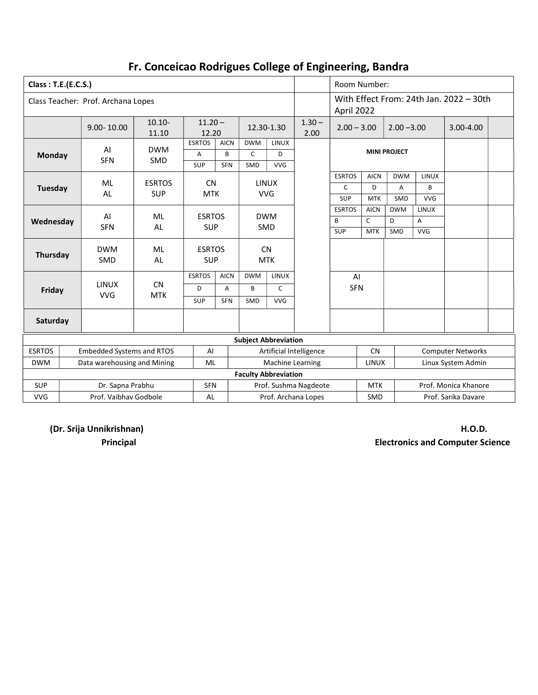| Class: T.E.(E.C.S.) |                             |                                    |                    |                             |             |                                                                                                                                                                                                                                                                                                                                                                                                                   |              |                  | Room Number:  |              |                |            |                                         |  |
|---------------------|-----------------------------|------------------------------------|--------------------|-----------------------------|-------------|-------------------------------------------------------------------------------------------------------------------------------------------------------------------------------------------------------------------------------------------------------------------------------------------------------------------------------------------------------------------------------------------------------------------|--------------|------------------|---------------|--------------|----------------|------------|-----------------------------------------|--|
|                     |                             | Class Teacher: Prof. Archana Lopes |                    |                             |             |                                                                                                                                                                                                                                                                                                                                                                                                                   |              |                  | April 2022    |              |                |            | With Effect From: 24th Jan. 2022 - 30th |  |
|                     |                             | 9.00-10.00                         | $10.10 -$<br>11.10 | $11.20 -$<br>12.20          |             |                                                                                                                                                                                                                                                                                                                                                                                                                   | 12.30-1.30   | $1.30 -$<br>2.00 | $2.00 - 3.00$ |              | $2.00 - 3.00$  |            | 3.00-4.00                               |  |
|                     |                             | AI                                 | <b>DWM</b>         | <b>ESRTOS</b>               | <b>AICN</b> | <b>DWM</b>                                                                                                                                                                                                                                                                                                                                                                                                        | LINUX        |                  |               |              |                |            |                                         |  |
| <b>Monday</b>       |                             |                                    |                    | A                           | B           | $\mathsf{C}$                                                                                                                                                                                                                                                                                                                                                                                                      | D            |                  |               |              |                |            |                                         |  |
|                     |                             | <b>SFN</b>                         | <b>SMD</b>         | SUP                         | <b>SFN</b>  | SMD                                                                                                                                                                                                                                                                                                                                                                                                               | <b>VVG</b>   |                  |               |              |                |            |                                         |  |
|                     |                             |                                    |                    |                             |             |                                                                                                                                                                                                                                                                                                                                                                                                                   |              |                  | <b>ESRTOS</b> | <b>AICN</b>  | <b>DWM</b>     | LINUX      |                                         |  |
| <b>Tuesday</b>      |                             | ML                                 | <b>ESRTOS</b>      | <b>CN</b>                   |             |                                                                                                                                                                                                                                                                                                                                                                                                                   |              |                  | C             | D            | $\overline{A}$ | B          |                                         |  |
|                     |                             | <b>AL</b>                          | <b>SUP</b>         | <b>MTK</b>                  |             |                                                                                                                                                                                                                                                                                                                                                                                                                   |              |                  | <b>SUP</b>    | <b>MTK</b>   | SMD            | <b>VVG</b> |                                         |  |
|                     |                             |                                    |                    |                             |             |                                                                                                                                                                                                                                                                                                                                                                                                                   |              |                  | <b>ESRTOS</b> | <b>AICN</b>  | <b>DWM</b>     | LINUX      |                                         |  |
| Wednesday           |                             | AI                                 | ML                 | <b>ESRTOS</b>               |             |                                                                                                                                                                                                                                                                                                                                                                                                                   |              |                  | B             | $\mathsf{C}$ | D              | A          |                                         |  |
|                     |                             | <b>SFN</b>                         | AL                 | <b>SUP</b><br><b>SMD</b>    |             |                                                                                                                                                                                                                                                                                                                                                                                                                   |              |                  | SUP           | <b>MTK</b>   | SMD            | <b>VVG</b> |                                         |  |
| Thursday            |                             | <b>DWM</b><br><b>SMD</b>           | ML<br>AL           | <b>ESRTOS</b><br><b>SUP</b> |             |                                                                                                                                                                                                                                                                                                                                                                                                                   |              |                  |               |              |                |            |                                         |  |
|                     |                             |                                    |                    | <b>ESRTOS</b>               | <b>AICN</b> | <b>DWM</b>                                                                                                                                                                                                                                                                                                                                                                                                        | LINUX        |                  |               |              |                |            |                                         |  |
| Friday              |                             | <b>LINUX</b>                       | <b>CN</b>          | D                           | A           | B                                                                                                                                                                                                                                                                                                                                                                                                                 | $\mathsf{C}$ |                  |               |              |                |            |                                         |  |
|                     |                             | <b>VVG</b>                         | <b>MTK</b>         | SUP                         | <b>SFN</b>  | SMD                                                                                                                                                                                                                                                                                                                                                                                                               | <b>VVG</b>   |                  |               |              |                |            |                                         |  |
| Saturday            |                             |                                    |                    |                             |             |                                                                                                                                                                                                                                                                                                                                                                                                                   |              |                  |               |              |                |            |                                         |  |
|                     |                             |                                    |                    |                             |             |                                                                                                                                                                                                                                                                                                                                                                                                                   |              |                  |               |              |                |            |                                         |  |
| <b>ESRTOS</b>       |                             | <b>Embedded Systems and RTOS</b>   |                    | AI                          |             |                                                                                                                                                                                                                                                                                                                                                                                                                   |              |                  |               | <b>CN</b>    |                |            |                                         |  |
| <b>DWM</b>          |                             | Data warehousing and Mining        |                    | ML                          |             |                                                                                                                                                                                                                                                                                                                                                                                                                   |              |                  |               |              |                |            |                                         |  |
|                     |                             |                                    |                    |                             |             |                                                                                                                                                                                                                                                                                                                                                                                                                   |              |                  |               |              |                |            |                                         |  |
| <b>SUP</b>          |                             | Dr. Sapna Prabhu                   |                    | <b>SFN</b>                  |             | <b>MINI PROJECT</b><br><b>LINUX</b><br><b>VVG</b><br><b>DWM</b><br><b>CN</b><br><b>MTK</b><br>AI<br><b>SFN</b><br><b>Subject Abbreviation</b><br>Artificial Intelligence<br><b>Computer Networks</b><br>Machine Learning<br>Linux System Admin<br><b>LINUX</b><br><b>Faculty Abbreviation</b><br>Prof. Sushma Nagdeote<br><b>MTK</b><br>Prof. Monica Khanore<br>Prof. Archana Lopes<br>SMD<br>Prof. Sarika Davare |              |                  |               |              |                |            |                                         |  |
| <b>VVG</b>          | Prof. Vaibhay Godbole<br>AL |                                    |                    |                             |             |                                                                                                                                                                                                                                                                                                                                                                                                                   |              |                  |               |              |                |            |                                         |  |

(Dr. Srija Unnikrishnan) H.O.D.

Principal Electronics and Computer Science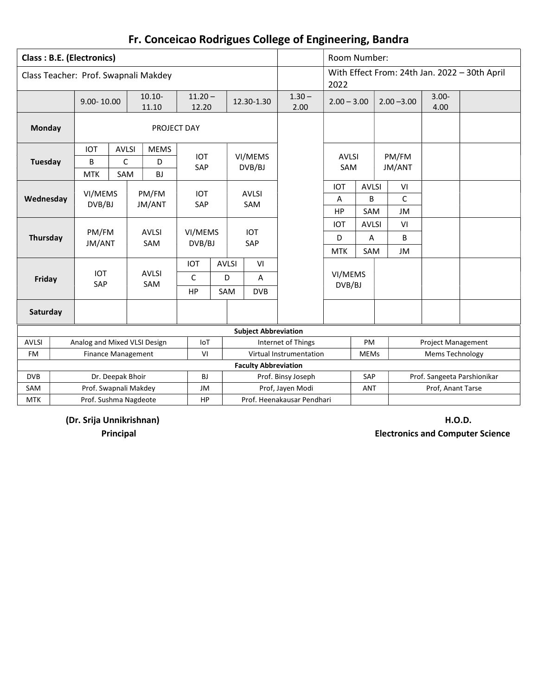|  |  |  |  | Fr. Conceicao Rodrigues College of Engineering, Bandra |  |
|--|--|--|--|--------------------------------------------------------|--|
|--|--|--|--|--------------------------------------------------------|--|

|                   | <b>Class: B.E. (Electronics)</b> |                  |                                      |                    |     |              |                             |                                        | Room Number:      |                   |               |                           |                                               |
|-------------------|----------------------------------|------------------|--------------------------------------|--------------------|-----|--------------|-----------------------------|----------------------------------------|-------------------|-------------------|---------------|---------------------------|-----------------------------------------------|
|                   |                                  |                  | Class Teacher: Prof. Swapnali Makdey |                    |     |              |                             |                                        | 2022              |                   |               |                           | With Effect From: 24th Jan. 2022 - 30th April |
|                   | 9.00-10.00                       |                  | $10.10 -$<br>11.10                   | $11.20 -$<br>12.20 |     |              | 12.30-1.30                  | $1.30 -$<br>2.00                       | $2.00 - 3.00$     |                   | $2.00 - 3.00$ | $3.00 -$<br>4.00          |                                               |
| <b>Monday</b>     |                                  |                  | PROJECT DAY                          |                    |     |              |                             |                                        |                   |                   |               |                           |                                               |
|                   | <b>IOT</b>                       | <b>AVLSI</b>     | <b>MEMS</b>                          | <b>IOT</b>         |     |              | VI/MEMS                     |                                        | <b>AVLSI</b>      |                   | PM/FM         |                           |                                               |
| Tuesday           | B                                | C                | D                                    | SAP                |     |              | DVB/BJ                      |                                        | SAM               |                   | JM/ANT        |                           |                                               |
|                   | <b>MTK</b>                       | SAM              | BJ                                   |                    |     |              |                             |                                        |                   |                   |               |                           |                                               |
|                   | VI/MEMS                          |                  | PM/FM                                | <b>IOT</b>         |     |              | <b>AVLSI</b>                |                                        | <b>IOT</b>        | <b>AVLSI</b>      | VI            |                           |                                               |
| Wednesday         | DVB/BJ                           |                  | JM/ANT                               | SAP                |     |              | SAM                         |                                        | $\overline{A}$    | B                 | C             |                           |                                               |
|                   |                                  |                  |                                      |                    |     |              |                             |                                        | HP                | SAM               | JM            |                           |                                               |
|                   | PM/FM                            |                  | <b>AVLSI</b>                         | VI/MEMS            |     |              | <b>IOT</b>                  |                                        | <b>IOT</b>        | <b>AVLSI</b>      | VI            |                           |                                               |
| Thursday          | JM/ANT                           |                  | SAM                                  | DVB/BJ             |     |              | SAP                         |                                        | D                 | Α                 | B             |                           |                                               |
|                   |                                  |                  |                                      |                    |     |              |                             |                                        | <b>MTK</b>        | SAM               | JM            |                           |                                               |
|                   |                                  |                  |                                      | <b>IOT</b>         |     | <b>AVLSI</b> | VI                          |                                        |                   |                   |               |                           |                                               |
| Friday            | <b>IOT</b><br>SAP                |                  | <b>AVLSI</b><br>SAM                  | C                  |     | D            | A                           |                                        | VI/MEMS<br>DVB/BJ |                   |               |                           |                                               |
|                   |                                  |                  |                                      | <b>HP</b>          | SAM |              | <b>DVB</b>                  |                                        |                   |                   |               |                           |                                               |
| Saturday          |                                  |                  |                                      |                    |     |              |                             |                                        |                   |                   |               |                           |                                               |
|                   |                                  |                  |                                      |                    |     |              | <b>Subject Abbreviation</b> |                                        |                   |                   |               |                           |                                               |
| <b>AVLSI</b>      |                                  |                  | Analog and Mixed VLSI Design         | IoT                |     |              |                             | Internet of Things                     |                   | PM                |               | <b>Project Management</b> |                                               |
| <b>FM</b>         |                                  |                  | Finance Management                   | VI                 |     |              |                             | Virtual Instrumentation                |                   | <b>MEMs</b>       |               | Mems Technology           |                                               |
|                   |                                  |                  |                                      |                    |     |              | <b>Faculty Abbreviation</b> |                                        |                   |                   |               |                           |                                               |
| <b>DVB</b><br>SAM |                                  | Dr. Deepak Bhoir | Prof. Swapnali Makdey                | BJ<br>JM           |     |              |                             | Prof. Binsy Joseph<br>Prof, Jayen Modi |                   | SAP<br><b>ANT</b> |               | Prof, Anant Tarse         | Prof. Sangeeta Parshionikar                   |
| <b>MTK</b>        |                                  |                  | Prof. Sushma Nagdeote                | HP                 |     |              |                             | Prof. Heenakausar Pendhari             |                   |                   |               |                           |                                               |
|                   |                                  |                  |                                      |                    |     |              |                             |                                        |                   |                   |               |                           |                                               |

(Dr. Srija Unnikrishnan) H.O.D.

Principal Electronics and Computer Science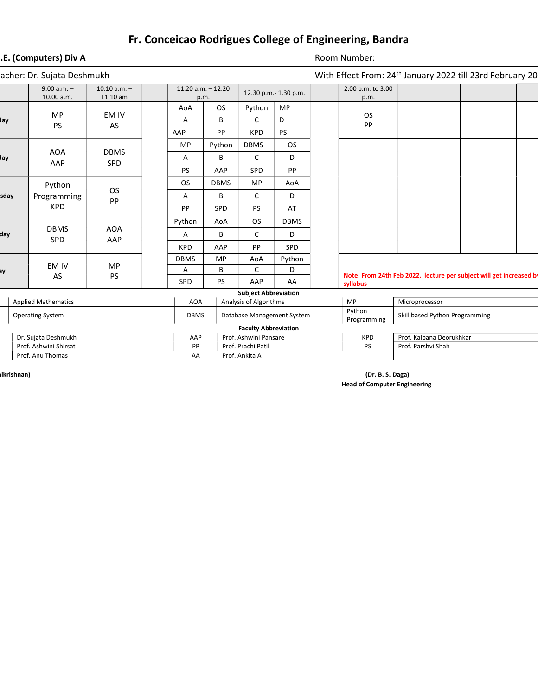|      | .E. (Computers) Div A       |                            |                                           |             |                             |                       | Room Number:                   |                                                                       |  |
|------|-----------------------------|----------------------------|-------------------------------------------|-------------|-----------------------------|-----------------------|--------------------------------|-----------------------------------------------------------------------|--|
|      | acher: Dr. Sujata Deshmukh  |                            |                                           |             |                             |                       |                                | With Effect From: 24 <sup>th</sup> January 2022 till 23rd February 20 |  |
|      | $9.00 a.m. -$<br>10.00 a.m. | $10.10 a.m. -$<br>11.10 am | $11.20$ a.m. $-12.20$<br>p.m.             |             |                             | 12.30 p.m.- 1.30 p.m. | 2.00 p.m. to 3.00<br>p.m.      |                                                                       |  |
|      |                             |                            | AoA                                       | <b>OS</b>   | Python                      | MP                    |                                |                                                                       |  |
| day  | MP<br><b>PS</b>             | EM IV<br>AS                | Α                                         | B           | C                           | D                     | <b>OS</b><br><b>PP</b>         |                                                                       |  |
|      |                             |                            | AAP                                       | PP          | <b>KPD</b>                  | PS                    |                                |                                                                       |  |
|      |                             |                            | <b>MP</b>                                 | Python      | <b>DBMS</b>                 | <b>OS</b>             |                                |                                                                       |  |
| day  | <b>AOA</b><br>AAP           | <b>DBMS</b><br><b>SPD</b>  | Α                                         | B           | $\mathsf{C}$                | D                     |                                |                                                                       |  |
|      |                             |                            | <b>PS</b>                                 | AAP         | SPD                         | PP                    |                                |                                                                       |  |
|      | Python                      |                            | <b>OS</b>                                 | <b>DBMS</b> | <b>MP</b>                   | AoA                   |                                |                                                                       |  |
| sday | Programming                 | OS<br>PP                   | Α                                         | B           | C                           | D                     |                                |                                                                       |  |
|      | <b>KPD</b>                  |                            | <b>PP</b>                                 | <b>SPD</b>  | PS                          | AT                    |                                |                                                                       |  |
|      |                             |                            | Python                                    | AoA         | OS.                         | <b>DBMS</b>           |                                |                                                                       |  |
| dav  | <b>DBMS</b><br><b>SPD</b>   | <b>AOA</b><br>AAP          | Α                                         | B           | C                           | D                     |                                |                                                                       |  |
|      |                             |                            | <b>KPD</b>                                | AAP         | <b>PP</b>                   | <b>SPD</b>            |                                |                                                                       |  |
|      | EM IV                       |                            | <b>DBMS</b>                               | MP          | AoA                         | Python                |                                |                                                                       |  |
| BY   |                             | <b>MP</b>                  | Α                                         | B           | $\mathsf{C}$                | D                     |                                | Note: From 24th Feb 2022, lecture per subject will get increased by   |  |
|      | AS                          | <b>PS</b>                  | SPD                                       | <b>PS</b>   | AAP                         | AA                    | syllabus                       |                                                                       |  |
|      |                             |                            |                                           |             | <b>Subject Abbreviation</b> |                       |                                |                                                                       |  |
|      | <b>Applied Mathematics</b>  |                            | <b>AOA</b>                                |             | Analysis of Algorithms      |                       | <b>MP</b>                      | Microprocessor                                                        |  |
|      | <b>Operating System</b>     |                            | <b>DBMS</b><br>Database Management System |             |                             | Python<br>Programming | Skill based Python Programming |                                                                       |  |
|      |                             |                            |                                           |             | <b>Faculty Abbreviation</b> |                       |                                |                                                                       |  |
|      | Dr. Sujata Deshmukh         |                            | AAP<br>Prof. Ashwini Pansare              |             |                             | <b>KPD</b>            | Prof. Kalpana Deorukhkar       |                                                                       |  |
|      | Prof. Ashwini Shirsat       |                            | Prof. Prachi Patil<br>PP                  |             |                             | PS                    | Prof. Parshvi Shah             |                                                                       |  |
|      | Prof. Anu Thomas            |                            | AA                                        |             | Prof. Ankita A              |                       |                                |                                                                       |  |

on the control of the control of the control of the control of the control of the control of the control of the control of the control of the control of the control of the control of the control of the control of the contr Head of Computer Engineering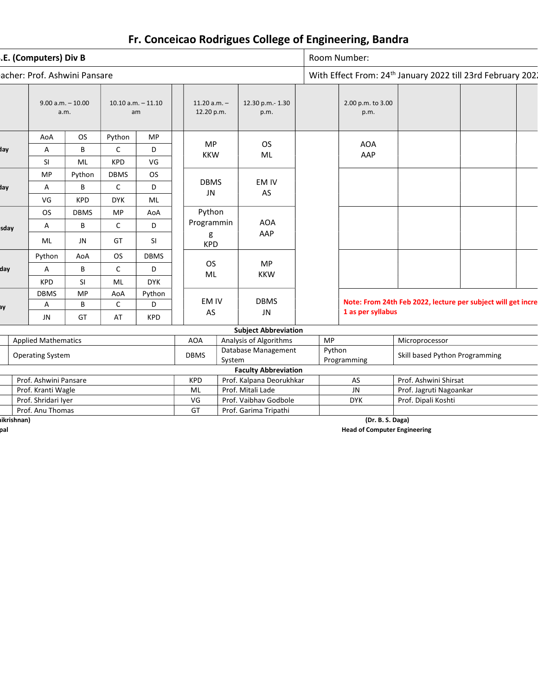|            | .E. (Computers) Div B        |              |              |                             |                              |                     |                             |                       | Room Number:                   |                                                                         |  |
|------------|------------------------------|--------------|--------------|-----------------------------|------------------------------|---------------------|-----------------------------|-----------------------|--------------------------------|-------------------------------------------------------------------------|--|
|            | acher: Prof. Ashwini Pansare |              |              |                             |                              |                     |                             |                       |                                | With Effect From: 24 <sup>th</sup> January 2022 till 23rd February 2021 |  |
|            | $9.00$ a.m. $-10.00$         | a.m.         |              | $10.10$ a.m. $-11.10$<br>am | $11.20 a.m. -$<br>12.20 p.m. |                     | 12.30 p.m.- 1.30<br>p.m.    |                       | 2.00 p.m. to 3.00<br>p.m.      |                                                                         |  |
|            | AoA                          | <b>OS</b>    | Python       | <b>MP</b>                   |                              |                     |                             |                       |                                |                                                                         |  |
| day        | A                            | B            | $\mathsf C$  | D                           | <b>MP</b>                    |                     | <b>OS</b>                   |                       | <b>AOA</b>                     |                                                                         |  |
|            | SI                           | ML           | <b>KPD</b>   | VG                          | <b>KKW</b>                   |                     | ML                          |                       | AAP                            |                                                                         |  |
|            | MP                           | Python       | <b>DBMS</b>  | <b>OS</b>                   |                              |                     |                             |                       |                                |                                                                         |  |
| day        | A                            | $\mathsf{C}$ | D            | <b>DBMS</b><br>JN           |                              | EM IV<br>AS         |                             |                       |                                |                                                                         |  |
|            | VG                           | <b>DYK</b>   | ML           |                             |                              |                     |                             |                       |                                |                                                                         |  |
|            | <b>OS</b>                    | <b>DBMS</b>  | <b>MP</b>    | AoA                         | Python                       |                     |                             |                       |                                |                                                                         |  |
| sday       | Α                            | В            | $\mathsf{C}$ | D                           | Programmin                   | <b>AOA</b>          |                             |                       |                                |                                                                         |  |
|            | ML                           | <b>JN</b>    | GT           | SI                          | g<br><b>KPD</b>              |                     | AAP                         |                       |                                |                                                                         |  |
|            | Python                       | AoA          | <b>OS</b>    | <b>DBMS</b>                 |                              |                     |                             |                       |                                |                                                                         |  |
| day        | А                            | В            | $\mathsf C$  | D                           | <b>OS</b>                    |                     | <b>MP</b>                   |                       |                                |                                                                         |  |
|            | <b>KPD</b>                   | SI           | ML           | <b>DYK</b>                  | ML                           |                     | <b>KKW</b>                  |                       |                                |                                                                         |  |
|            | <b>DBMS</b>                  | <b>MP</b>    | AoA          | Python                      |                              |                     |                             |                       |                                |                                                                         |  |
| вy         | А                            | B            | $\mathsf{C}$ | D                           | EM IV                        |                     | <b>DBMS</b>                 |                       |                                | Note: From 24th Feb 2022, lecture per subject will get incre            |  |
|            | JN                           | GT           | AT           | <b>KPD</b>                  | AS                           |                     | <b>JN</b>                   |                       | 1 as per syllabus              |                                                                         |  |
|            |                              |              |              |                             |                              |                     | <b>Subject Abbreviation</b> |                       |                                |                                                                         |  |
|            | <b>Applied Mathematics</b>   |              |              |                             | <b>AOA</b>                   |                     | Analysis of Algorithms      | <b>MP</b>             |                                | Microprocessor                                                          |  |
|            | <b>Operating System</b>      |              |              | <b>DBMS</b>                 | System                       | Database Management |                             | Python<br>Programming | Skill based Python Programming |                                                                         |  |
|            |                              |              |              |                             |                              |                     | <b>Faculty Abbreviation</b> |                       |                                |                                                                         |  |
|            | Prof. Ashwini Pansare        |              |              |                             | <b>KPD</b>                   |                     | Prof. Kalpana Deorukhkar    |                       | AS                             | Prof. Ashwini Shirsat                                                   |  |
|            | Prof. Kranti Wagle           |              |              |                             | ML                           | Prof. Mitali Lade   |                             |                       | JN                             | Prof. Jagruti Nagoankar                                                 |  |
|            | Prof. Shridari Iyer          |              |              |                             | VG                           |                     | Prof. Vaibhav Godbole       |                       | <b>DYK</b>                     | Prof. Dipali Koshti                                                     |  |
|            | Prof. Anu Thomas             |              |              |                             | GT                           |                     | Prof. Garima Tripathi       |                       |                                |                                                                         |  |
| ikrishnan) |                              |              |              |                             |                              |                     |                             |                       | (Dr. B. S. Daga)               |                                                                         |  |

Principal Head of Computer Engineering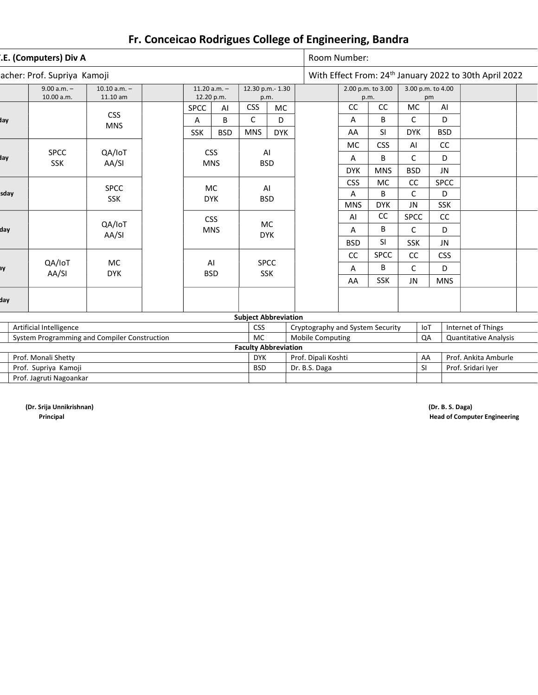|      | .E. (Computers) Div A                                | acher: Prof. Supriya Kamoji<br>$9.00 a.m. -$<br>$10.10 a.m. -$<br>11.20 $a.m. -$ |            |                                |            |                                  |            |  |                             | Room Number: |                   |                              |            |                      |                                                                    |  |
|------|------------------------------------------------------|----------------------------------------------------------------------------------|------------|--------------------------------|------------|----------------------------------|------------|--|-----------------------------|--------------|-------------------|------------------------------|------------|----------------------|--------------------------------------------------------------------|--|
|      |                                                      |                                                                                  |            |                                |            |                                  |            |  |                             |              |                   |                              |            |                      | With Effect From: 24 <sup>th</sup> January 2022 to 30th April 2022 |  |
|      | 10.00 a.m.                                           | 11.10 am                                                                         |            | 12.20 p.m.                     |            | 12.30 p.m.- 1.30<br>p.m.         |            |  |                             | p.m.         | 2.00 p.m. to 3.00 | 3.00 p.m. to 4.00            | pm         |                      |                                                                    |  |
|      |                                                      |                                                                                  |            | <b>SPCC</b>                    | AI         | <b>CSS</b>                       | <b>MC</b>  |  |                             | cc           | cc                | <b>MC</b>                    |            | AI                   |                                                                    |  |
| day  |                                                      | <b>CSS</b>                                                                       |            | Α                              | B          | C                                | D          |  |                             | Α            | B                 | C                            |            | D                    |                                                                    |  |
|      |                                                      | <b>MNS</b>                                                                       |            | <b>SSK</b>                     | <b>BSD</b> | <b>MNS</b>                       | <b>DYK</b> |  |                             | AA           | <b>SI</b>         | <b>DYK</b>                   |            | <b>BSD</b>           |                                                                    |  |
|      |                                                      |                                                                                  |            |                                |            |                                  |            |  |                             | <b>MC</b>    | <b>CSS</b>        | AI                           |            | cc                   |                                                                    |  |
| day  | <b>SPCC</b><br><b>SSK</b>                            | QA/IoT<br>AA/SI                                                                  |            | <b>CSS</b><br><b>MNS</b>       |            | AI                               | <b>BSD</b> |  |                             | Α            | В                 | $\mathsf C$                  |            | D                    |                                                                    |  |
|      |                                                      |                                                                                  |            |                                |            |                                  |            |  |                             | <b>DYK</b>   | <b>MNS</b>        | <b>BSD</b>                   |            | <b>JN</b>            |                                                                    |  |
|      |                                                      |                                                                                  |            |                                |            | AI                               |            |  |                             | <b>CSS</b>   | <b>MC</b>         | cc                           |            | <b>SPCC</b>          |                                                                    |  |
| sday | <b>SPCC</b><br><b>MC</b><br><b>SSK</b><br><b>DYK</b> |                                                                                  |            |                                |            | <b>BSD</b>                       |            |  |                             | Α            | B                 | $\mathsf C$                  |            | D                    |                                                                    |  |
|      |                                                      |                                                                                  |            |                                |            |                                  |            |  |                             | <b>MNS</b>   | <b>DYK</b>        | JN                           |            | <b>SSK</b>           |                                                                    |  |
|      |                                                      |                                                                                  |            | <b>CSS</b>                     |            |                                  |            |  |                             | AI           | CC                | <b>SPCC</b>                  |            | cc                   |                                                                    |  |
| day  |                                                      | QA/IoT<br>AA/SI                                                                  |            | MC<br><b>MNS</b><br><b>DYK</b> |            |                                  |            |  | Α                           | В            | C                 |                              | D          |                      |                                                                    |  |
|      |                                                      |                                                                                  |            |                                |            |                                  |            |  |                             | <b>BSD</b>   | <b>SI</b>         | SSK                          |            | JN                   |                                                                    |  |
|      |                                                      |                                                                                  |            |                                |            |                                  |            |  | cc                          | <b>SPCC</b>  | cc                |                              | <b>CSS</b> |                      |                                                                    |  |
| вy   | QA/IoT                                               | <b>MC</b>                                                                        |            | AI                             |            | <b>SPCC</b>                      |            |  |                             | Α            | B                 | $\mathsf C$                  |            | D                    |                                                                    |  |
|      | AA/SI                                                | <b>DYK</b>                                                                       |            |                                | <b>BSD</b> | <b>SSK</b>                       |            |  |                             | AA           | SSK               | <b>JN</b>                    |            | <b>MNS</b>           |                                                                    |  |
| day  |                                                      |                                                                                  |            |                                |            |                                  |            |  |                             |              |                   |                              |            |                      |                                                                    |  |
|      |                                                      |                                                                                  |            |                                |            | <b>Subject Abbreviation</b>      |            |  |                             |              |                   |                              |            |                      |                                                                    |  |
|      | Artificial Intelligence                              |                                                                                  | <b>CSS</b> |                                |            | Cryptography and System Security |            |  |                             | IoT          |                   | Internet of Things           |            |                      |                                                                    |  |
|      | System Programming and Compiler Construction         |                                                                                  | <b>MC</b>  |                                |            | <b>Mobile Computing</b>          |            |  |                             | QA           |                   | <b>Quantitative Analysis</b> |            |                      |                                                                    |  |
|      |                                                      |                                                                                  |            |                                |            |                                  |            |  | <b>Faculty Abbreviation</b> |              |                   |                              |            |                      |                                                                    |  |
|      | Prof. Monali Shetty                                  |                                                                                  |            |                                |            | <b>DYK</b>                       |            |  | Prof. Dipali Koshti<br>AA   |              |                   |                              |            | Prof. Ankita Amburle |                                                                    |  |
|      | Prof. Supriya Kamoji                                 |                                                                                  |            |                                |            |                                  |            |  | Dr. B.S. Daga               |              |                   |                              | SI         |                      | Prof. Sridari Iyer                                                 |  |
|      | Prof. Jagruti Nagoankar                              |                                                                                  |            |                                |            |                                  |            |  |                             |              |                   |                              |            |                      |                                                                    |  |

(Dr. Srija Unnikrishnan) (Dr. B. S. Daga)

Principal Head of Computer Engineering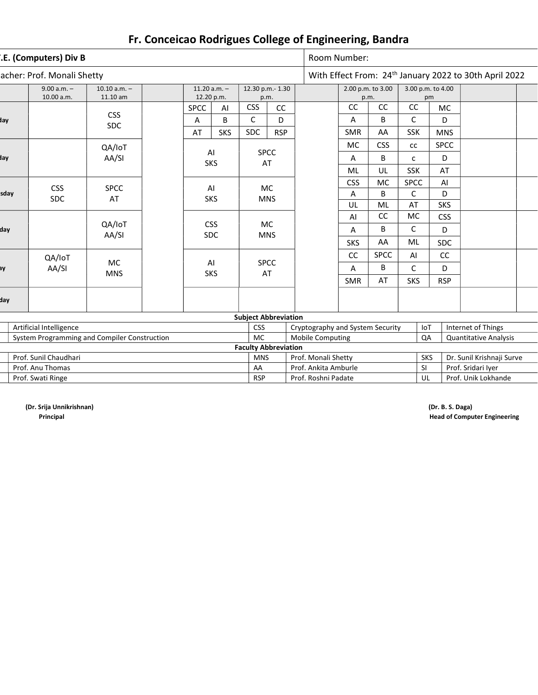|      | .E. (Computers) Div B                                             | acher: Prof. Monali Shetty<br>$9.00 a.m. -$<br>$10.10 a.m. -$<br>11.20 $a.m. -$ |            |                             |                                                     |                                  |                         |    | Room Number:                                     |                                                  |                    |                   |    |                           |                                                                    |  |
|------|-------------------------------------------------------------------|---------------------------------------------------------------------------------|------------|-----------------------------|-----------------------------------------------------|----------------------------------|-------------------------|----|--------------------------------------------------|--------------------------------------------------|--------------------|-------------------|----|---------------------------|--------------------------------------------------------------------|--|
|      |                                                                   |                                                                                 |            |                             |                                                     |                                  |                         |    |                                                  |                                                  |                    |                   |    |                           | With Effect From: 24 <sup>th</sup> January 2022 to 30th April 2022 |  |
|      | 10.00 a.m.                                                        | 11.10 am                                                                        |            | 12.20 p.m.                  |                                                     | 12.30 p.m.- 1.30                 | p.m.                    |    |                                                  | 2.00 p.m. to 3.00                                | p.m.               | 3.00 p.m. to 4.00 | pm |                           |                                                                    |  |
|      |                                                                   |                                                                                 |            | <b>SPCC</b>                 | AI                                                  | <b>CSS</b>                       | CC                      |    |                                                  | CC                                               | cc                 | CC                |    | <b>MC</b>                 |                                                                    |  |
| day  |                                                                   | <b>CSS</b>                                                                      |            | Α                           | B                                                   | $\mathsf{C}$                     | D                       |    |                                                  | A                                                | B                  | $\mathsf{C}$      |    | D                         |                                                                    |  |
|      |                                                                   | <b>SDC</b>                                                                      |            | AT                          | <b>SKS</b>                                          | <b>SDC</b>                       | <b>RSP</b>              |    |                                                  | <b>SMR</b>                                       | AA                 | <b>SSK</b>        |    | <b>MNS</b>                |                                                                    |  |
|      |                                                                   | QA/IoT                                                                          |            |                             |                                                     |                                  |                         |    |                                                  | MC                                               | <b>CSS</b>         | cc                |    | <b>SPCC</b>               |                                                                    |  |
| day  |                                                                   | AA/SI                                                                           |            | <b>SKS</b>                  | AI                                                  |                                  | <b>SPCC</b><br>AT       |    |                                                  | Α                                                | B                  | C                 |    | D                         |                                                                    |  |
|      |                                                                   |                                                                                 |            |                             |                                                     |                                  |                         |    |                                                  | ML                                               | UL                 | SSK               |    | AT                        |                                                                    |  |
|      |                                                                   |                                                                                 |            |                             |                                                     |                                  |                         |    |                                                  | <b>CSS</b>                                       | <b>MC</b>          | <b>SPCC</b>       |    | AI                        |                                                                    |  |
| sday | <b>CSS</b><br><b>SPCC</b><br>AI<br><b>SDC</b><br><b>SKS</b><br>AT |                                                                                 |            |                             |                                                     |                                  | <b>MC</b><br><b>MNS</b> |    |                                                  | Α                                                | B                  | $\mathsf{C}$      |    | D                         |                                                                    |  |
|      |                                                                   |                                                                                 |            |                             |                                                     |                                  | UL                      | ML | AT                                               |                                                  | <b>SKS</b>         |                   |    |                           |                                                                    |  |
|      |                                                                   |                                                                                 |            |                             |                                                     |                                  |                         |    |                                                  | AI                                               | CC                 | <b>MC</b>         |    | <b>CSS</b>                |                                                                    |  |
| day  |                                                                   | QA/IoT<br>AA/SI                                                                 |            |                             | <b>CSS</b><br><b>MC</b><br><b>SDC</b><br><b>MNS</b> |                                  |                         |    |                                                  | A                                                | B                  | C                 |    | D                         |                                                                    |  |
|      |                                                                   |                                                                                 |            |                             |                                                     |                                  |                         |    |                                                  | <b>SKS</b>                                       | AA                 | ML                |    | <b>SDC</b>                |                                                                    |  |
|      | QA/IoT                                                            |                                                                                 |            |                             |                                                     |                                  |                         |    |                                                  | cc                                               | <b>SPCC</b>        | AI                |    | CC                        |                                                                    |  |
| вy   | AA/SI                                                             | <b>MC</b>                                                                       |            | AI                          |                                                     |                                  | <b>SPCC</b>             |    |                                                  | Α                                                | B                  | C                 |    | D                         |                                                                    |  |
|      |                                                                   | <b>MNS</b>                                                                      |            | <b>SKS</b>                  |                                                     | AT                               |                         |    |                                                  | <b>SMR</b>                                       | AT                 | <b>SKS</b>        |    | <b>RSP</b>                |                                                                    |  |
| day  |                                                                   |                                                                                 |            |                             |                                                     |                                  |                         |    |                                                  |                                                  |                    |                   |    |                           |                                                                    |  |
|      |                                                                   |                                                                                 |            |                             |                                                     | <b>Subject Abbreviation</b>      |                         |    |                                                  |                                                  |                    |                   |    |                           |                                                                    |  |
|      | Artificial Intelligence                                           |                                                                                 | <b>CSS</b> |                             |                                                     | Cryptography and System Security |                         |    |                                                  | IoT                                              | Internet of Things |                   |    |                           |                                                                    |  |
|      |                                                                   | System Programming and Compiler Construction                                    |            |                             |                                                     |                                  |                         |    | <b>Mobile Computing</b>                          |                                                  |                    |                   | QA |                           | <b>Quantitative Analysis</b>                                       |  |
|      |                                                                   |                                                                                 |            | <b>Faculty Abbreviation</b> |                                                     |                                  |                         |    |                                                  |                                                  |                    |                   |    |                           |                                                                    |  |
|      | Prof. Sunil Chaudhari                                             |                                                                                 |            |                             |                                                     |                                  |                         |    | Prof. Monali Shetty<br><b>SKS</b>                |                                                  |                    |                   |    | Dr. Sunil Krishnaji Surve |                                                                    |  |
|      | Prof. Anu Thomas                                                  |                                                                                 |            |                             |                                                     |                                  |                         |    | Prof. Ankita Amburle<br>Prof. Sridari Iyer<br>SI |                                                  |                    |                   |    |                           |                                                                    |  |
|      | Prof. Swati Ringe                                                 |                                                                                 |            |                             |                                                     |                                  |                         |    |                                                  | Prof. Unik Lokhande<br>Prof. Roshni Padate<br>UL |                    |                   |    |                           |                                                                    |  |

(Dr. Srija Unnikrishnan) (Dr. B. S. Daga)

Principal Head of Computer Engineering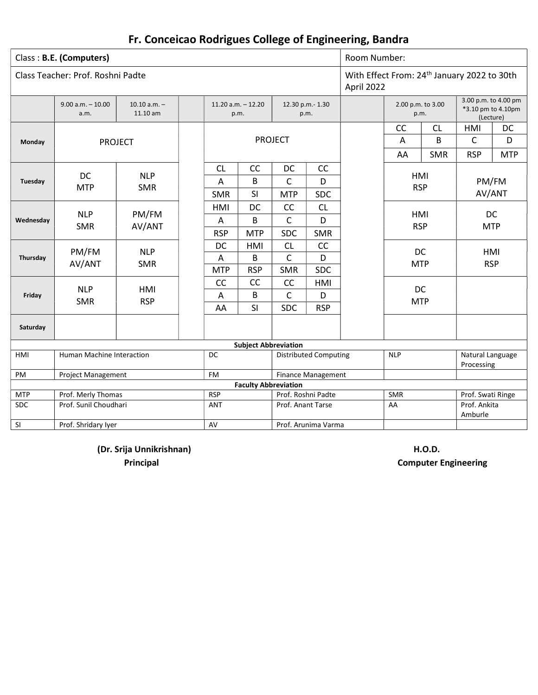|            | Class: B.E. (Computers)           |                            |                                 | Room Number:                  |                             |                              |                                                                       |                   |                         |                                                         |            |
|------------|-----------------------------------|----------------------------|---------------------------------|-------------------------------|-----------------------------|------------------------------|-----------------------------------------------------------------------|-------------------|-------------------------|---------------------------------------------------------|------------|
|            | Class Teacher: Prof. Roshni Padte |                            |                                 |                               |                             |                              | With Effect From: 24 <sup>th</sup> January 2022 to 30th<br>April 2022 |                   |                         |                                                         |            |
|            | $9.00 a.m. - 10.00$<br>a.m.       | $10.10 a.m. -$<br>11.10 am |                                 | $11.20$ a.m. $-12.20$<br>p.m. |                             | 12.30 p.m.- 1.30<br>p.m.     |                                                                       | 2.00 p.m. to 3.00 | p.m.                    | 3.00 p.m. to 4.00 pm<br>*3.10 pm to 4.10pm<br>(Lecture) |            |
|            |                                   |                            |                                 |                               |                             |                              |                                                                       | CC                | CL                      | HMI                                                     | DC         |
| Monday     | <b>PROJECT</b>                    |                            |                                 |                               | <b>PROJECT</b>              |                              |                                                                       | A                 | B                       | C                                                       | D          |
|            |                                   |                            |                                 |                               |                             |                              |                                                                       | AA                | <b>SMR</b>              | <b>RSP</b>                                              | <b>MTP</b> |
|            |                                   |                            | <b>CL</b>                       | CC                            | DC                          | CC                           |                                                                       |                   |                         |                                                         |            |
| Tuesday    | <b>DC</b>                         | <b>NLP</b>                 | Α                               | B                             | C                           | D                            |                                                                       | HMI               |                         | PM/FM                                                   |            |
|            | <b>MTP</b>                        | <b>SMR</b>                 | <b>SMR</b>                      | SI                            | <b>MTP</b>                  | <b>SDC</b>                   |                                                                       |                   | <b>RSP</b>              | AV/ANT                                                  |            |
|            |                                   |                            | HMI                             | DC                            | CC                          | CL                           |                                                                       |                   |                         |                                                         |            |
| Wednesday  | <b>NLP</b>                        | PM/FM                      | A                               | B                             | C                           | D                            |                                                                       | HMI               |                         | DC                                                      |            |
|            | <b>SMR</b>                        | AV/ANT                     | <b>RSP</b>                      | <b>MTP</b>                    | <b>SDC</b>                  | <b>SMR</b>                   |                                                                       | <b>RSP</b>        |                         | <b>MTP</b>                                              |            |
|            |                                   |                            | DC                              | HMI                           | <b>CL</b>                   | CC                           |                                                                       |                   |                         |                                                         |            |
| Thursday   | PM/FM                             | <b>NLP</b>                 | A                               | C<br>B<br>D                   |                             |                              |                                                                       |                   | DC                      | HMI                                                     |            |
|            | AV/ANT                            | <b>SMR</b>                 | <b>MTP</b>                      | <b>RSP</b>                    | <b>SMR</b>                  | <b>SDC</b>                   |                                                                       | <b>MTP</b>        |                         | <b>RSP</b>                                              |            |
|            |                                   |                            | CC                              | CC                            | CC                          | HMI                          |                                                                       |                   |                         |                                                         |            |
| Friday     | <b>NLP</b><br><b>SMR</b>          | HMI<br><b>RSP</b>          | Α                               | B                             | $\mathsf{C}$                | D                            |                                                                       | <b>MTP</b>        | DC                      |                                                         |            |
|            |                                   |                            | AA                              | SI                            | <b>SDC</b>                  | <b>RSP</b>                   |                                                                       |                   |                         |                                                         |            |
| Saturday   |                                   |                            |                                 |                               |                             |                              |                                                                       |                   |                         |                                                         |            |
|            |                                   |                            |                                 |                               | <b>Subject Abbreviation</b> |                              |                                                                       |                   |                         |                                                         |            |
| HMI        | <b>Human Machine Interaction</b>  |                            | <b>DC</b>                       |                               |                             | <b>Distributed Computing</b> |                                                                       | <b>NLP</b>        |                         | Natural Language<br>Processing                          |            |
| PM         | <b>Project Management</b>         |                            | <b>FM</b>                       |                               |                             | Finance Management           |                                                                       |                   |                         |                                                         |            |
|            |                                   |                            |                                 | <b>Faculty Abbreviation</b>   |                             |                              |                                                                       |                   |                         |                                                         |            |
| <b>MTP</b> | Prof. Merly Thomas                |                            | <b>RSP</b>                      | Prof. Roshni Padte            |                             |                              |                                                                       | <b>SMR</b>        |                         | Prof. Swati Ringe                                       |            |
| <b>SDC</b> | Prof. Sunil Choudhari             |                            | <b>ANT</b><br>Prof. Anant Tarse |                               |                             |                              | AA                                                                    |                   | Prof. Ankita<br>Amburle |                                                         |            |
| SI         | Prof. Shridary Iyer               |                            | AV                              |                               |                             | Prof. Arunima Varma          |                                                                       |                   |                         |                                                         |            |

(Dr. Srija Unnikrishnan) H.O.D.

Principal Computer Engineering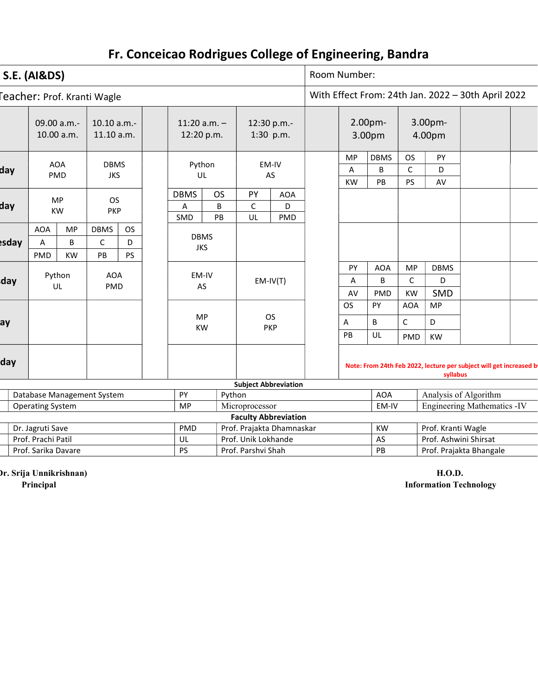|       | <b>S.E. (AI&amp;DS)</b><br>eacher: Prof. Kranti Wagle<br>09.00 a.m.-<br>10.10 a.m.-<br>11:20 $a.m. -$<br>12:30 p.m.-<br>10.00 a.m.<br>11.10 a.m.<br>12:20 p.m.<br>1:30 p.m.<br><b>AOA</b><br>Python<br>EM-IV<br><b>DBMS</b><br>PMD<br><b>JKS</b><br>UL<br>AS<br><b>OS</b><br><b>DBMS</b><br>PY<br><b>MP</b><br><b>OS</b><br>$\mathsf{C}$<br>B<br>A<br><b>KW</b><br><b>PKP</b><br>UL<br>PB<br>SMD<br><b>AOA</b><br><b>MP</b><br><b>DBMS</b><br><b>OS</b><br><b>DBMS</b><br>$\mathsf C$<br>B<br>D<br>Α<br><b>JKS</b><br><b>KW</b><br>PMD<br>PB<br><b>PS</b><br>Python<br><b>AOA</b><br>EM-IV<br>$EM-IV(T)$<br>AS<br>UL<br>PMD |                                  |  |  |  |  |           |  |                     |                             | Room Number: |                                 |                                                                    |                                        |                                                             |                                                    |  |
|-------|-----------------------------------------------------------------------------------------------------------------------------------------------------------------------------------------------------------------------------------------------------------------------------------------------------------------------------------------------------------------------------------------------------------------------------------------------------------------------------------------------------------------------------------------------------------------------------------------------------------------------------|----------------------------------|--|--|--|--|-----------|--|---------------------|-----------------------------|--------------|---------------------------------|--------------------------------------------------------------------|----------------------------------------|-------------------------------------------------------------|----------------------------------------------------|--|
|       |                                                                                                                                                                                                                                                                                                                                                                                                                                                                                                                                                                                                                             |                                  |  |  |  |  |           |  |                     |                             |              |                                 |                                                                    |                                        |                                                             | With Effect From: 24th Jan. 2022 - 30th April 2022 |  |
|       |                                                                                                                                                                                                                                                                                                                                                                                                                                                                                                                                                                                                                             |                                  |  |  |  |  |           |  |                     |                             |              |                                 | 2.00 <sub>pm</sub><br>3.00pm                                       |                                        | 3.00pm-<br>4.00pm                                           |                                                    |  |
| day   |                                                                                                                                                                                                                                                                                                                                                                                                                                                                                                                                                                                                                             |                                  |  |  |  |  |           |  |                     |                             |              | <b>MP</b><br>A<br>KW            | <b>DBMS</b><br>B<br>PB                                             | <b>OS</b><br>$\mathsf{C}$<br><b>PS</b> | PY<br>D<br>AV                                               |                                                    |  |
| day   |                                                                                                                                                                                                                                                                                                                                                                                                                                                                                                                                                                                                                             |                                  |  |  |  |  |           |  |                     | <b>AOA</b><br>D<br>PMD      |              |                                 |                                                                    |                                        |                                                             |                                                    |  |
|       |                                                                                                                                                                                                                                                                                                                                                                                                                                                                                                                                                                                                                             |                                  |  |  |  |  |           |  |                     |                             |              |                                 |                                                                    |                                        |                                                             |                                                    |  |
| esday |                                                                                                                                                                                                                                                                                                                                                                                                                                                                                                                                                                                                                             |                                  |  |  |  |  |           |  |                     |                             |              |                                 |                                                                    |                                        |                                                             |                                                    |  |
|       |                                                                                                                                                                                                                                                                                                                                                                                                                                                                                                                                                                                                                             |                                  |  |  |  |  |           |  |                     |                             |              |                                 |                                                                    |                                        |                                                             |                                                    |  |
|       |                                                                                                                                                                                                                                                                                                                                                                                                                                                                                                                                                                                                                             |                                  |  |  |  |  |           |  |                     |                             |              | PY                              | <b>AOA</b>                                                         | <b>MP</b>                              | <b>DBMS</b>                                                 |                                                    |  |
| day   |                                                                                                                                                                                                                                                                                                                                                                                                                                                                                                                                                                                                                             |                                  |  |  |  |  |           |  |                     |                             | Α            | B                               | C                                                                  | D                                      |                                                             |                                                    |  |
|       |                                                                                                                                                                                                                                                                                                                                                                                                                                                                                                                                                                                                                             |                                  |  |  |  |  |           |  |                     |                             |              | AV                              | PMD                                                                | <b>KW</b>                              | SMD                                                         |                                                    |  |
|       |                                                                                                                                                                                                                                                                                                                                                                                                                                                                                                                                                                                                                             |                                  |  |  |  |  | MP        |  | <b>OS</b>           |                             |              | <b>OS</b>                       | PY                                                                 | <b>AOA</b>                             | <b>MP</b>                                                   |                                                    |  |
| ay    |                                                                                                                                                                                                                                                                                                                                                                                                                                                                                                                                                                                                                             |                                  |  |  |  |  | <b>KW</b> |  |                     | <b>PKP</b>                  |              | A                               | B                                                                  | $\mathsf{C}$                           | D                                                           |                                                    |  |
|       |                                                                                                                                                                                                                                                                                                                                                                                                                                                                                                                                                                                                                             |                                  |  |  |  |  |           |  |                     |                             |              | PB                              | UL                                                                 | PMD                                    | <b>KW</b>                                                   |                                                    |  |
| day   |                                                                                                                                                                                                                                                                                                                                                                                                                                                                                                                                                                                                                             |                                  |  |  |  |  |           |  |                     |                             |              | syllabus                        | Note: From 24th Feb 2022, lecture per subject will get increased b |                                        |                                                             |                                                    |  |
|       |                                                                                                                                                                                                                                                                                                                                                                                                                                                                                                                                                                                                                             |                                  |  |  |  |  |           |  |                     | <b>Subject Abbreviation</b> |              |                                 |                                                                    |                                        |                                                             |                                                    |  |
|       | PY<br>Database Management System<br>Python<br>Microprocessor<br><b>MP</b><br><b>Operating System</b>                                                                                                                                                                                                                                                                                                                                                                                                                                                                                                                        |                                  |  |  |  |  |           |  |                     |                             |              | <b>AOA</b><br>EM-IV             |                                                                    |                                        | Analysis of Algorithm<br><b>Engineering Mathematics -IV</b> |                                                    |  |
|       |                                                                                                                                                                                                                                                                                                                                                                                                                                                                                                                                                                                                                             |                                  |  |  |  |  |           |  |                     | <b>Faculty Abbreviation</b> |              |                                 |                                                                    |                                        |                                                             |                                                    |  |
|       |                                                                                                                                                                                                                                                                                                                                                                                                                                                                                                                                                                                                                             | Prof. Prajakta Dhamnaskar<br>PMD |  |  |  |  |           |  |                     |                             |              | Prof. Kranti Wagle<br><b>KW</b> |                                                                    |                                        |                                                             |                                                    |  |
|       | Dr. Jagruti Save<br>Prof. Prachi Patil<br>UL                                                                                                                                                                                                                                                                                                                                                                                                                                                                                                                                                                                |                                  |  |  |  |  |           |  | Prof. Unik Lokhande |                             |              |                                 | AS                                                                 |                                        |                                                             | Prof. Ashwini Shirsat                              |  |

Prof. Sarika Davare Prof. Parshvi Shah Prof. Parshvi Shah Prof. Prof. Prof. Prajakta Bhangale

(Dr. Srija Unnikrishnan) H.O.D.

Principal Information Technology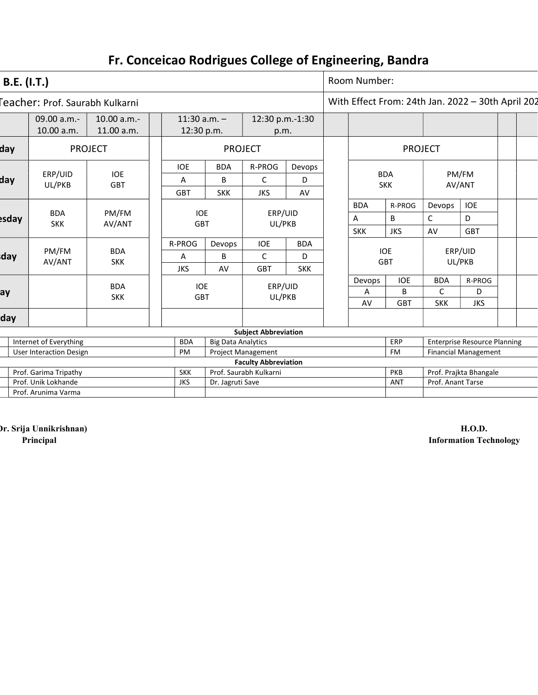| <b>B.E.</b> (I.T.) |                                              |                           |                                               |                                    |                                                       |        |            | Room Number: |                          |                                     |                                                   |  |  |
|--------------------|----------------------------------------------|---------------------------|-----------------------------------------------|------------------------------------|-------------------------------------------------------|--------|------------|--------------|--------------------------|-------------------------------------|---------------------------------------------------|--|--|
|                    | Feacher: Prof. Saurabh Kulkarni              |                           |                                               |                                    |                                                       |        |            |              |                          |                                     | With Effect From: 24th Jan. 2022 - 30th April 202 |  |  |
|                    | 09.00 a.m.-<br>10.00 a.m.                    | 10.00 a.m.-<br>11.00 a.m. | $11:30$ a.m. $-$<br>12:30 p.m.                |                                    | 12:30 p.m.-1:30<br>p.m.                               |        |            |              |                          |                                     |                                                   |  |  |
| day                |                                              | <b>PROJECT</b>            |                                               | <b>PROJECT</b>                     |                                                       |        |            |              |                          | <b>PROJECT</b>                      |                                                   |  |  |
|                    |                                              |                           | <b>IOE</b>                                    | <b>BDA</b>                         | R-PROG                                                | Devops |            |              |                          |                                     |                                                   |  |  |
| day                | ERP/UID<br>UL/PKB                            | <b>IOE</b><br><b>GBT</b>  | A                                             | $\mathsf{C}$<br>B<br>D             |                                                       |        |            |              | <b>BDA</b><br><b>SKK</b> |                                     | PM/FM<br>AV/ANT                                   |  |  |
|                    |                                              |                           | <b>GBT</b>                                    | <b>SKK</b>                         | <b>JKS</b>                                            | AV     |            |              |                          |                                     |                                                   |  |  |
|                    |                                              |                           |                                               |                                    |                                                       |        |            | <b>BDA</b>   | R-PROG                   | Devops                              | <b>IOE</b>                                        |  |  |
| esday              | <b>BDA</b><br><b>SKK</b>                     | PM/FM                     | ERP/UID<br><b>IOE</b><br>UL/PKB<br><b>GBT</b> |                                    |                                                       |        | A          | B            | C                        | D                                   |                                                   |  |  |
|                    |                                              | AV/ANT                    |                                               |                                    |                                                       |        | <b>SKK</b> | <b>JKS</b>   | AV                       | <b>GBT</b>                          |                                                   |  |  |
|                    |                                              |                           | R-PROG                                        | <b>IOE</b><br><b>BDA</b><br>Devops |                                                       |        |            |              |                          |                                     |                                                   |  |  |
| day                | PM/FM<br>AV/ANT                              | <b>BDA</b><br><b>SKK</b>  | Α                                             | C<br>B<br>D                        |                                                       |        |            |              | <b>IOE</b><br><b>GBT</b> |                                     | ERP/UID<br>UL/PKB                                 |  |  |
|                    |                                              |                           | <b>JKS</b>                                    | AV                                 | <b>SKK</b><br><b>GBT</b>                              |        |            |              |                          |                                     |                                                   |  |  |
|                    |                                              | <b>BDA</b>                | <b>IOE</b>                                    |                                    | ERP/UID                                               |        |            | Devops       | <b>IOE</b>               | <b>BDA</b>                          | R-PROG                                            |  |  |
| ay                 |                                              | <b>SKK</b>                | <b>GBT</b>                                    |                                    | UL/PKB                                                |        |            | Α            | B                        | C                                   | D                                                 |  |  |
|                    |                                              |                           |                                               |                                    |                                                       |        |            | AV           | <b>GBT</b>               | <b>SKK</b>                          | <b>JKS</b>                                        |  |  |
| day                |                                              |                           |                                               |                                    |                                                       |        |            |              |                          |                                     |                                                   |  |  |
|                    |                                              |                           |                                               |                                    | <b>Subject Abbreviation</b>                           |        |            |              |                          |                                     |                                                   |  |  |
|                    | Internet of Everything                       |                           | <b>BDA</b>                                    | <b>Big Data Analytics</b>          |                                                       |        |            |              | ERP                      | <b>Enterprise Resource Planning</b> |                                                   |  |  |
|                    | <b>User Interaction Design</b>               |                           | PM                                            | Project Management                 |                                                       |        |            |              | <b>FM</b>                |                                     | <b>Financial Management</b>                       |  |  |
|                    |                                              |                           |                                               |                                    | <b>Faculty Abbreviation</b><br>Prof. Saurabh Kulkarni |        |            |              | PKB                      |                                     |                                                   |  |  |
|                    | Prof. Garima Tripathy<br>Prof. Unik Lokhande |                           | <b>SKK</b><br><b>JKS</b>                      | Dr. Jagruti Save                   |                                                       |        |            |              | <b>ANT</b>               | Prof. Anant Tarse                   | Prof. Prajkta Bhangale                            |  |  |
|                    | Prof. Arunima Varma                          |                           |                                               |                                    |                                                       |        |            |              |                          |                                     |                                                   |  |  |
|                    |                                              |                           |                                               |                                    |                                                       |        |            |              |                          |                                     |                                                   |  |  |

(Dr. Srija Unnikrishnan) H.O.D.<br>Principal H.O.D. Information Tec

**Information Technology**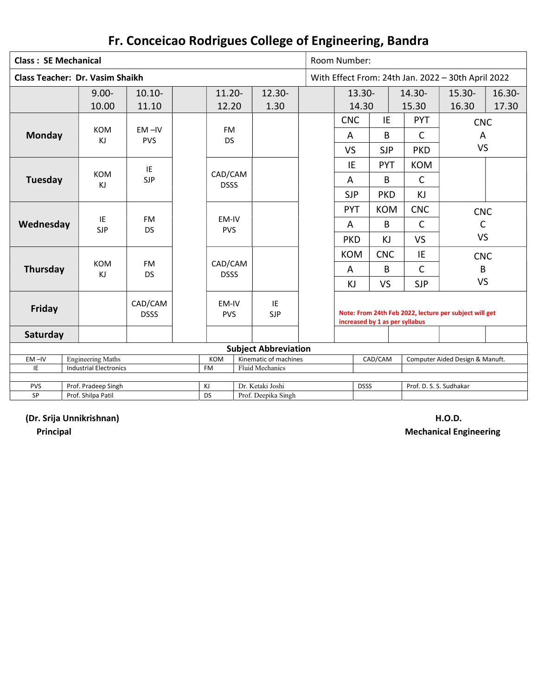|                                        | Room Number:        |                    |                        |            |                             |                       |                     |  |                                |            |                                 |                                                        |           |
|----------------------------------------|---------------------|--------------------|------------------------|------------|-----------------------------|-----------------------|---------------------|--|--------------------------------|------------|---------------------------------|--------------------------------------------------------|-----------|
| <b>Class: SE Mechanical</b>            |                     |                    |                        |            |                             |                       |                     |  |                                |            |                                 |                                                        |           |
| <b>Class Teacher: Dr. Vasim Shaikh</b> |                     |                    |                        |            |                             |                       |                     |  |                                |            |                                 | With Effect From: 24th Jan. 2022 - 30th April 2022     |           |
|                                        | $9.00 -$            |                    | $10.10 -$              |            | $11.20 -$                   |                       | 12.30-              |  | $13.30 -$                      |            | 14.30-                          | $15.30 -$                                              | $16.30 -$ |
|                                        | 10.00               |                    | 11.10                  |            | 12.20                       |                       | 1.30                |  | 14.30                          |            | 15.30                           | 16.30                                                  | 17.30     |
|                                        |                     |                    |                        |            |                             |                       |                     |  |                                |            |                                 |                                                        |           |
|                                        |                     |                    |                        |            |                             |                       |                     |  | <b>CNC</b>                     | IE         | <b>PYT</b>                      | <b>CNC</b>                                             |           |
| <b>Monday</b>                          | <b>KOM</b>          |                    | $EM - IV$              |            | FM                          |                       |                     |  | A                              | B          | $\mathsf{C}$                    | A                                                      |           |
|                                        | ΚJ                  |                    | <b>PVS</b>             |            | <b>DS</b>                   |                       |                     |  |                                |            |                                 | <b>VS</b>                                              |           |
|                                        |                     |                    |                        |            |                             |                       |                     |  | VS                             | <b>SJP</b> | <b>PKD</b>                      |                                                        |           |
|                                        |                     |                    | IE                     |            |                             |                       |                     |  | IE                             | <b>PYT</b> | <b>KOM</b>                      |                                                        |           |
| Tuesday                                | <b>KOM</b>          |                    | <b>SJP</b>             |            | CAD/CAM                     |                       |                     |  | A                              | B          | $\mathsf{C}$                    |                                                        |           |
|                                        | ΚJ                  |                    |                        |            | <b>DSSS</b>                 |                       |                     |  |                                |            |                                 |                                                        |           |
|                                        |                     |                    |                        |            |                             |                       |                     |  | <b>SJP</b>                     | <b>PKD</b> | KJ                              |                                                        |           |
|                                        |                     |                    |                        |            |                             |                       |                     |  | <b>PYT</b>                     | <b>KOM</b> | <b>CNC</b>                      | <b>CNC</b>                                             |           |
| Wednesday                              | IE                  |                    | <b>FM</b>              |            | EM-IV                       |                       |                     |  | A                              | B          | $\mathsf{C}$                    | $\mathsf C$                                            |           |
|                                        | <b>SJP</b>          |                    | <b>DS</b>              |            | <b>PVS</b>                  |                       |                     |  |                                |            |                                 |                                                        |           |
|                                        |                     |                    |                        |            |                             |                       |                     |  | <b>PKD</b>                     | KJ         | <b>VS</b>                       | <b>VS</b>                                              |           |
|                                        |                     |                    |                        |            |                             |                       |                     |  | <b>KOM</b>                     | <b>CNC</b> | IE                              | <b>CNC</b>                                             |           |
| Thursday                               | <b>KOM</b>          |                    | <b>FM</b>              |            | CAD/CAM                     |                       |                     |  | A                              | B          | $\mathsf{C}$                    | B                                                      |           |
|                                        | ΚJ                  |                    | <b>DS</b>              |            | <b>DSSS</b>                 |                       |                     |  |                                |            |                                 |                                                        |           |
|                                        |                     |                    |                        |            |                             |                       |                     |  | KJ                             | <b>VS</b>  | <b>SJP</b>                      | <b>VS</b>                                              |           |
| <b>Friday</b>                          |                     |                    | CAD/CAM<br><b>DSSS</b> |            | EM-IV<br><b>PVS</b>         |                       | IE<br><b>SJP</b>    |  | increased by 1 as per syllabus |            |                                 | Note: From 24th Feb 2022, lecture per subject will get |           |
| Saturday                               |                     |                    |                        |            |                             |                       |                     |  |                                |            |                                 |                                                        |           |
|                                        |                     |                    |                        |            | <b>Subject Abbreviation</b> |                       |                     |  |                                |            |                                 |                                                        |           |
| $EM -IV$<br><b>Engineering Maths</b>   |                     |                    |                        | <b>KOM</b> |                             | Kinematic of machines |                     |  | CAD/CAM                        |            | Computer Aided Design & Manuft. |                                                        |           |
| IE<br><b>Industrial Electronics</b>    |                     |                    |                        |            | <b>FM</b>                   |                       | Fluid Mechanics     |  |                                |            |                                 |                                                        |           |
|                                        |                     |                    |                        |            |                             |                       |                     |  |                                |            |                                 |                                                        |           |
| <b>PVS</b>                             | Prof. Pradeep Singh |                    |                        |            | KJ<br><b>DS</b>             |                       | Dr. Ketaki Joshi    |  | <b>DSSS</b>                    |            | Prof. D. S. S. Sudhakar         |                                                        |           |
| SP                                     |                     | Prof. Shilpa Patil |                        |            |                             |                       | Prof. Deepika Singh |  |                                |            |                                 |                                                        |           |

(Dr. Srija Unnikrishnan) H.O.D.

Principal **Mechanical Engineering**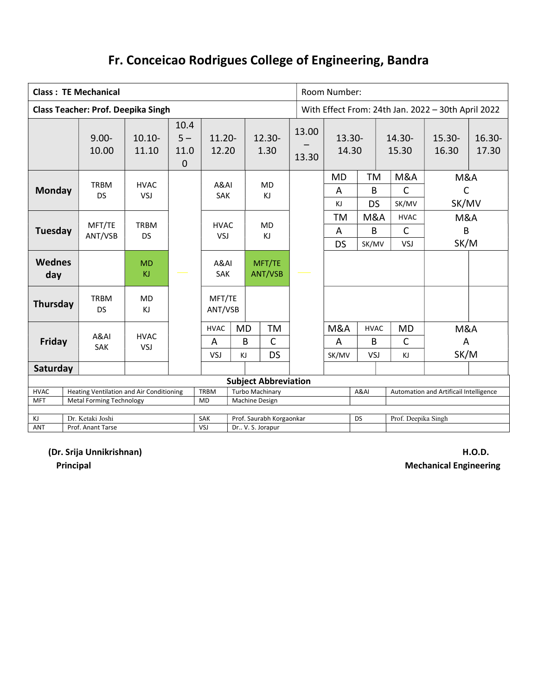|                                               |                                                                | <b>Class: TE Mechanical</b>               |                          |                                      |                          | Room Number:<br>With Effect From: 24th Jan. 2022 - 30th April 2022 |                                        |                                                       |                   |                         |                      |                                 |                                         |                                        |                    |
|-----------------------------------------------|----------------------------------------------------------------|-------------------------------------------|--------------------------|--------------------------------------|--------------------------|--------------------------------------------------------------------|----------------------------------------|-------------------------------------------------------|-------------------|-------------------------|----------------------|---------------------------------|-----------------------------------------|----------------------------------------|--------------------|
|                                               |                                                                | <b>Class Teacher: Prof. Deepika Singh</b> |                          |                                      |                          |                                                                    |                                        |                                                       |                   |                         |                      |                                 |                                         |                                        |                    |
|                                               |                                                                | $9.00 -$<br>10.00                         | $10.10 -$<br>11.10       | 10.4<br>$5 -$<br>11.0<br>$\mathbf 0$ | $11.20 -$<br>12.20       |                                                                    |                                        | $12.30 -$<br>1.30                                     | 13.00<br>13.30    | $13.30 -$<br>14.30      |                      |                                 | $14.30 -$<br>15.30                      | $15.30 -$<br>16.30                     | $16.30 -$<br>17.30 |
| <b>Monday</b>                                 |                                                                | <b>TRBM</b><br><b>DS</b>                  | <b>HVAC</b><br>VSJ       |                                      | A&AI<br>SAK              |                                                                    |                                        | <b>MD</b><br>KJ                                       |                   | <b>MD</b><br>A<br>KJ    | TM<br>B<br><b>DS</b> |                                 | <b>M&amp;A</b><br>$\mathsf{C}$<br>SK/MV | M&A<br>$\mathsf{C}$<br>SK/MV           |                    |
|                                               | MFT/TE<br>Tuesday<br>ANT/VSB                                   |                                           | <b>TRBM</b><br><b>DS</b> |                                      | <b>HVAC</b><br>VSJ       |                                                                    |                                        | <b>MD</b><br>KJ                                       |                   | TM<br>A<br><b>DS</b>    | M&A<br>B<br>SK/MV    |                                 | <b>HVAC</b><br>$\mathsf C$<br>VSJ       | M&A<br>B<br>SK/M                       |                    |
| <b>Wednes</b><br>day                          |                                                                |                                           | <b>MD</b><br>KJ          |                                      | A&AI<br>SAK              |                                                                    |                                        | MFT/TE<br>ANT/VSB                                     |                   |                         |                      |                                 |                                         |                                        |                    |
| Thursday                                      |                                                                | <b>TRBM</b><br><b>DS</b>                  | <b>MD</b><br>KJ          |                                      | MFT/TE<br>ANT/VSB        |                                                                    |                                        |                                                       |                   |                         |                      |                                 |                                         |                                        |                    |
|                                               | A&AI<br><b>HVAC</b><br>Friday<br><b>SAK</b><br>VSJ             |                                           |                          | <b>HVAC</b><br>A<br>VSJ              | <b>MD</b><br>KJ          | B                                                                  | <b>TM</b><br>$\mathsf{C}$<br><b>DS</b> |                                                       | M&A<br>A<br>SK/MV | <b>HVAC</b><br>B<br>VSJ |                      | <b>MD</b><br>$\mathsf{C}$<br>KJ | M&A<br>A<br>SK/M                        |                                        |                    |
|                                               | Saturday                                                       |                                           |                          |                                      |                          |                                                                    |                                        |                                                       |                   |                         |                      |                                 |                                         |                                        |                    |
|                                               | <b>Heating Ventilation and Air Conditioning</b><br><b>HVAC</b> |                                           |                          |                                      |                          |                                                                    |                                        | <b>Subject Abbreviation</b><br><b>Turbo Machinary</b> |                   |                         | A&AI                 |                                 |                                         | Automation and Artificail Intelligence |                    |
| <b>MFT</b><br><b>Metal Forming Technology</b> |                                                                |                                           |                          |                                      | <b>TRBM</b><br><b>MD</b> |                                                                    |                                        | Machine Design                                        |                   |                         |                      |                                 |                                         |                                        |                    |
| KJ                                            | Dr. Ketaki Joshi                                               |                                           |                          |                                      |                          | Prof. Saurabh Korgaonkar<br>SAK                                    |                                        |                                                       |                   |                         | <b>DS</b>            |                                 | Prof. Deepika Singh                     |                                        |                    |
| <b>ANT</b>                                    | Prof. Anant Tarse                                              |                                           |                          |                                      | VSJ                      |                                                                    |                                        | Dr V. S. Jorapur                                      |                   |                         |                      |                                 |                                         |                                        |                    |

(Dr. Srija Unnikrishnan) H.O.D.

**Principal** Mechanical Engineering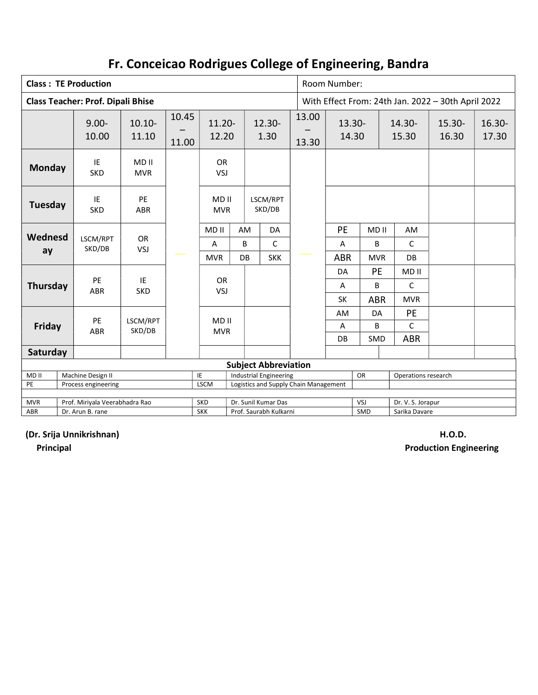|                                              |                                                                                                                                  | <b>Class: TE Production</b>              |                     |                |                    |                                                |                             | Room Number: |                |                    |              |                     |                                                    |                 |  |  |
|----------------------------------------------|----------------------------------------------------------------------------------------------------------------------------------|------------------------------------------|---------------------|----------------|--------------------|------------------------------------------------|-----------------------------|--------------|----------------|--------------------|--------------|---------------------|----------------------------------------------------|-----------------|--|--|
|                                              |                                                                                                                                  | <b>Class Teacher: Prof. Dipali Bhise</b> |                     |                |                    |                                                |                             |              |                |                    |              |                     | With Effect From: 24th Jan. 2022 - 30th April 2022 |                 |  |  |
|                                              |                                                                                                                                  | $9.00 -$<br>10.00                        | $10.10 -$<br>11.10  | 10.45<br>11.00 | $11.20 -$<br>12.20 |                                                | $12.30 -$<br>1.30           |              | 13.00<br>13.30 | $13.30 -$<br>14.30 |              | 14.30-<br>15.30     | 15.30-<br>16.30                                    | 16.30-<br>17.30 |  |  |
| <b>Monday</b>                                |                                                                                                                                  | IE<br><b>SKD</b>                         | MD II<br><b>MVR</b> |                | <b>OR</b><br>VSJ   |                                                |                             |              |                |                    |              |                     |                                                    |                 |  |  |
| Tuesday                                      | PE<br>IE<br>MD <sub>II</sub><br><b>SKD</b><br><b>MVR</b><br><b>ABR</b>                                                           |                                          | LSCM/RPT<br>SKD/DB  |                |                    |                                                |                             |              |                |                    |              |                     |                                                    |                 |  |  |
|                                              | Wednesd                                                                                                                          |                                          |                     |                | MD II              | AM                                             | DA                          |              |                | PE                 | MD II        | AM                  |                                                    |                 |  |  |
|                                              | <b>OR</b><br>LSCM/RPT<br>SKD/DB<br>VSJ<br>ay                                                                                     |                                          |                     | A              | B                  | $\mathsf{C}$                                   |                             |              | A              | B                  | $\mathsf{C}$ |                     |                                                    |                 |  |  |
|                                              |                                                                                                                                  |                                          |                     |                | <b>MVR</b>         | <b>DB</b>                                      | <b>SKK</b>                  |              |                | <b>ABR</b>         | <b>MVR</b>   | <b>DB</b>           |                                                    |                 |  |  |
|                                              |                                                                                                                                  |                                          |                     |                |                    |                                                |                             |              |                | DA                 | PE           | MD <sub>II</sub>    |                                                    |                 |  |  |
| Thursday                                     |                                                                                                                                  | PE<br><b>ABR</b>                         | IE<br><b>SKD</b>    |                | <b>OR</b><br>VSJ   |                                                |                             |              |                | A                  | B            | $\mathsf{C}$        |                                                    |                 |  |  |
|                                              |                                                                                                                                  |                                          |                     |                |                    |                                                |                             |              |                | SK                 | <b>ABR</b>   | <b>MVR</b>          |                                                    |                 |  |  |
|                                              |                                                                                                                                  | PE                                       |                     |                | MD II              |                                                |                             |              |                | AM                 | DA           | PE                  |                                                    |                 |  |  |
| Friday                                       |                                                                                                                                  | <b>ABR</b>                               | LSCM/RPT<br>SKD/DB  |                | <b>MVR</b>         |                                                |                             |              |                | Α                  | B            | $\mathsf{C}$        |                                                    |                 |  |  |
|                                              |                                                                                                                                  |                                          |                     |                |                    |                                                |                             |              |                | DB                 | <b>SMD</b>   | <b>ABR</b>          |                                                    |                 |  |  |
|                                              | Saturday                                                                                                                         |                                          |                     |                |                    |                                                |                             |              |                |                    |              |                     |                                                    |                 |  |  |
|                                              |                                                                                                                                  |                                          |                     |                |                    |                                                | <b>Subject Abbreviation</b> |              |                |                    |              |                     |                                                    |                 |  |  |
| MD II<br>PE                                  | Industrial Engineering<br>Machine Design II<br>IE<br><b>LSCM</b><br>Logistics and Supply Chain Management<br>Process engineering |                                          |                     |                |                    |                                                |                             |              |                |                    | OR           | Operations research |                                                    |                 |  |  |
|                                              |                                                                                                                                  |                                          |                     |                |                    |                                                |                             |              |                |                    |              |                     |                                                    |                 |  |  |
| <b>MVR</b><br>Prof. Miriyala Veerabhadra Rao |                                                                                                                                  |                                          |                     |                | <b>SKD</b>         | Dr. Sunil Kumar Das                            |                             |              |                |                    | VSJ          |                     | Dr. V. S. Jorapur                                  |                 |  |  |
| ABR                                          | Dr. Arun B. rane                                                                                                                 |                                          |                     |                |                    | Prof. Saurabh Kulkarni<br>SMD<br>Sarika Davare |                             |              |                |                    |              |                     |                                                    |                 |  |  |

(Dr. Srija Unnikrishnan) H.O.D.

Principal Production Engineering